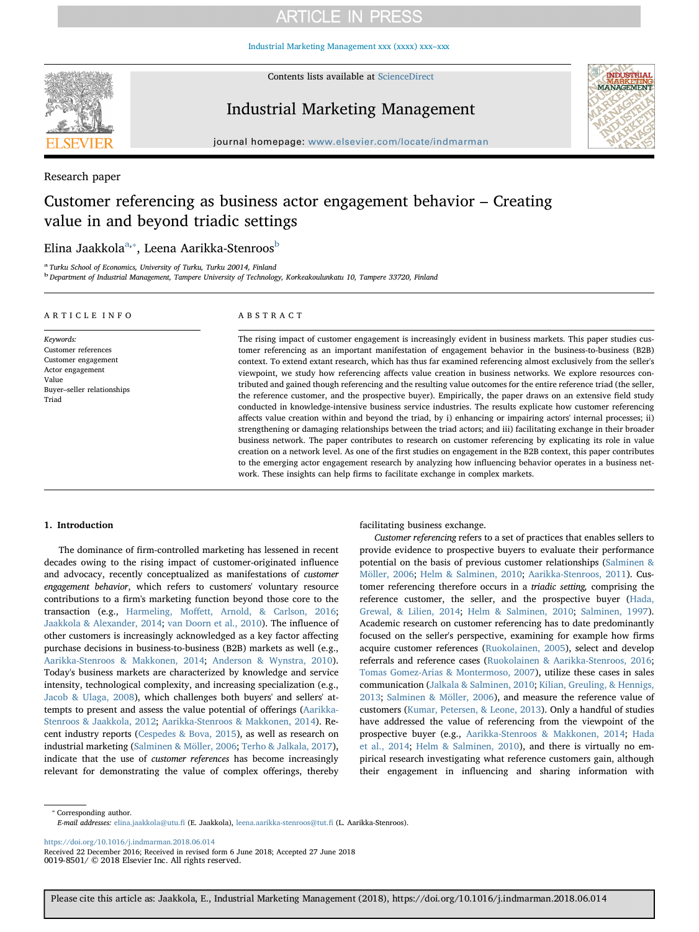[Industrial Marketing Management xxx \(xxxx\) xxx–xxx](https://doi.org/10.1016/j.indmarman.2018.06.014)



Contents lists available at [ScienceDirect](http://www.sciencedirect.com/science/journal/00198501)

Industrial Marketing Management



journal homepage: [www.elsevier.com/locate/indmarman](https://www.elsevier.com/locate/indmarman)

Research paper

# Customer referencing as business actor engagement behavior – Creating value in and beyond triadic settings

## Elin[a](#page-0-0) Jaakkola<sup>a,</sup>\*, Leena Aarikka-Stenroos<sup>[b](#page-0-2)</sup>

<span id="page-0-0"></span>Turku School of Economics, University of Turku, Turku 20014, Finland

<span id="page-0-2"></span><sup>b</sup> Department of Industrial Management, Tampere University of Technology, Korkeakoulunkatu 10, Tampere 33720, Finland

#### ARTICLE INFO

Keywords: Customer references Customer engagement Actor engagement Value Buyer–seller relationships Triad

### ABSTRACT

The rising impact of customer engagement is increasingly evident in business markets. This paper studies customer referencing as an important manifestation of engagement behavior in the business-to-business (B2B) context. To extend extant research, which has thus far examined referencing almost exclusively from the seller's viewpoint, we study how referencing affects value creation in business networks. We explore resources contributed and gained though referencing and the resulting value outcomes for the entire reference triad (the seller, the reference customer, and the prospective buyer). Empirically, the paper draws on an extensive field study conducted in knowledge-intensive business service industries. The results explicate how customer referencing affects value creation within and beyond the triad, by i) enhancing or impairing actors' internal processes; ii) strengthening or damaging relationships between the triad actors; and iii) facilitating exchange in their broader business network. The paper contributes to research on customer referencing by explicating its role in value creation on a network level. As one of the first studies on engagement in the B2B context, this paper contributes to the emerging actor engagement research by analyzing how influencing behavior operates in a business network. These insights can help firms to facilitate exchange in complex markets.

### 1. Introduction

The dominance of firm-controlled marketing has lessened in recent decades owing to the rising impact of customer-originated influence and advocacy, recently conceptualized as manifestations of customer engagement behavior, which refers to customers' voluntary resource contributions to a firm's marketing function beyond those core to the transaction (e.g., Harmeling, Moff[ett, Arnold, & Carlson, 2016](#page-14-0); [Jaakkola & Alexander, 2014](#page-14-1); [van Doorn et al., 2010](#page-14-2)). The influence of other customers is increasingly acknowledged as a key factor affecting purchase decisions in business-to-business (B2B) markets as well (e.g., [Aarikka-Stenroos & Makkonen, 2014](#page-14-3); [Anderson & Wynstra, 2010](#page-14-4)). Today's business markets are characterized by knowledge and service intensity, technological complexity, and increasing specialization (e.g., [Jacob & Ulaga, 2008](#page-14-5)), which challenges both buyers' and sellers' attempts to present and assess the value potential of offerings ([Aarikka-](#page-14-6)[Stenroos & Jaakkola, 2012](#page-14-6); [Aarikka-Stenroos & Makkonen, 2014](#page-14-3)). Recent industry reports ([Cespedes & Bova, 2015\)](#page-14-7), as well as research on industrial marketing [\(Salminen & Möller, 2006;](#page-15-0) [Terho & Jalkala, 2017](#page-15-1)), indicate that the use of customer references has become increasingly relevant for demonstrating the value of complex offerings, thereby facilitating business exchange.

Customer referencing refers to a set of practices that enables sellers to provide evidence to prospective buyers to evaluate their performance potential on the basis of previous customer relationships [\(Salminen &](#page-15-0) [Möller, 2006;](#page-15-0) [Helm & Salminen, 2010](#page-14-8); [Aarikka-Stenroos, 2011](#page-14-9)). Customer referencing therefore occurs in a triadic setting, comprising the reference customer, the seller, and the prospective buyer ([Hada,](#page-14-10) [Grewal, & Lilien, 2014](#page-14-10); [Helm & Salminen, 2010;](#page-14-8) [Salminen, 1997](#page-15-2)). Academic research on customer referencing has to date predominantly focused on the seller's perspective, examining for example how firms acquire customer references ([Ruokolainen, 2005\)](#page-14-11), select and develop referrals and reference cases [\(Ruokolainen & Aarikka-Stenroos, 2016](#page-14-12); [Tomas Gomez-Arias & Montermoso, 2007](#page-15-3)), utilize these cases in sales communication [\(Jalkala & Salminen, 2010](#page-14-13); [Kilian, Greuling, & Hennigs,](#page-14-14) [2013;](#page-14-14) [Salminen & Möller, 2006](#page-15-0)), and measure the reference value of customers [\(Kumar, Petersen, & Leone, 2013](#page-14-15)). Only a handful of studies have addressed the value of referencing from the viewpoint of the prospective buyer (e.g., [Aarikka-Stenroos & Makkonen, 2014;](#page-14-3) [Hada](#page-14-10) [et al., 2014](#page-14-10); [Helm & Salminen, 2010\)](#page-14-8), and there is virtually no empirical research investigating what reference customers gain, although their engagement in influencing and sharing information with

<span id="page-0-1"></span>⁎ Corresponding author. E-mail addresses: [elina.jaakkola@utu.](mailto:elina.jaakkola@utu.fi)fi (E. Jaakkola), [leena.aarikka-stenroos@tut.](mailto:leena.aarikka-stenroos@tut.fi)fi (L. Aarikka-Stenroos).

<https://doi.org/10.1016/j.indmarman.2018.06.014>

Received 22 December 2016; Received in revised form 6 June 2018; Accepted 27 June 2018 0019-8501/ © 2018 Elsevier Inc. All rights reserved.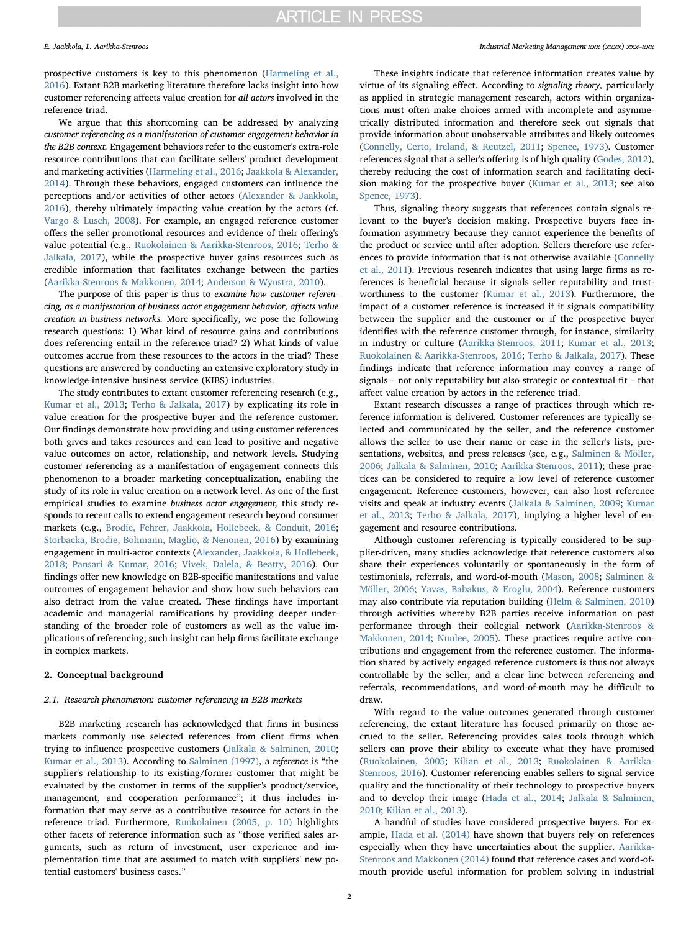prospective customers is key to this phenomenon [\(Harmeling et al.,](#page-14-0) [2016\)](#page-14-0). Extant B2B marketing literature therefore lacks insight into how customer referencing affects value creation for all actors involved in the reference triad.

We argue that this shortcoming can be addressed by analyzing customer referencing as a manifestation of customer engagement behavior in the B2B context. Engagement behaviors refer to the customer's extra-role resource contributions that can facilitate sellers' product development and marketing activities [\(Harmeling et al., 2016;](#page-14-0) [Jaakkola & Alexander,](#page-14-1) [2014\)](#page-14-1). Through these behaviors, engaged customers can influence the perceptions and/or activities of other actors [\(Alexander & Jaakkola,](#page-14-16) [2016\)](#page-14-16), thereby ultimately impacting value creation by the actors (cf. [Vargo & Lusch, 2008](#page-15-4)). For example, an engaged reference customer offers the seller promotional resources and evidence of their offering's value potential (e.g., [Ruokolainen & Aarikka-Stenroos, 2016](#page-14-12); [Terho &](#page-15-1) [Jalkala, 2017\)](#page-15-1), while the prospective buyer gains resources such as credible information that facilitates exchange between the parties ([Aarikka-Stenroos & Makkonen, 2014](#page-14-3); [Anderson & Wynstra, 2010\)](#page-14-4).

The purpose of this paper is thus to examine how customer referencing, as a manifestation of business actor engagement behavior, affects value creation in business networks. More specifically, we pose the following research questions: 1) What kind of resource gains and contributions does referencing entail in the reference triad? 2) What kinds of value outcomes accrue from these resources to the actors in the triad? These questions are answered by conducting an extensive exploratory study in knowledge-intensive business service (KIBS) industries.

The study contributes to extant customer referencing research (e.g., [Kumar et al., 2013](#page-14-15); [Terho & Jalkala, 2017](#page-15-1)) by explicating its role in value creation for the prospective buyer and the reference customer. Our findings demonstrate how providing and using customer references both gives and takes resources and can lead to positive and negative value outcomes on actor, relationship, and network levels. Studying customer referencing as a manifestation of engagement connects this phenomenon to a broader marketing conceptualization, enabling the study of its role in value creation on a network level. As one of the first empirical studies to examine business actor engagement, this study responds to recent calls to extend engagement research beyond consumer markets (e.g., [Brodie, Fehrer, Jaakkola, Hollebeek, & Conduit, 2016](#page-14-17); [Storbacka, Brodie, Böhmann, Maglio, & Nenonen, 2016](#page-15-5)) by examining engagement in multi-actor contexts [\(Alexander, Jaakkola, & Hollebeek,](#page-14-18) [2018;](#page-14-18) [Pansari & Kumar, 2016;](#page-14-19) [Vivek, Dalela, & Beatty, 2016](#page-15-6)). Our findings offer new knowledge on B2B-specific manifestations and value outcomes of engagement behavior and show how such behaviors can also detract from the value created. These findings have important academic and managerial ramifications by providing deeper understanding of the broader role of customers as well as the value implications of referencing; such insight can help firms facilitate exchange in complex markets.

## 2. Conceptual background

#### 2.1. Research phenomenon: customer referencing in B2B markets

B2B marketing research has acknowledged that firms in business markets commonly use selected references from client firms when trying to influence prospective customers [\(Jalkala & Salminen, 2010](#page-14-13); [Kumar et al., 2013\)](#page-14-15). According to [Salminen \(1997\),](#page-15-2) a reference is "the supplier's relationship to its existing/former customer that might be evaluated by the customer in terms of the supplier's product/service, management, and cooperation performance"; it thus includes information that may serve as a contributive resource for actors in the reference triad. Furthermore, [Ruokolainen \(2005, p. 10\)](#page-14-11) highlights other facets of reference information such as "those verified sales arguments, such as return of investment, user experience and implementation time that are assumed to match with suppliers' new potential customers' business cases."

#### E. Jaakkola, L. Aarikka-Stenroos *Industrial Marketing Management xxx (xxxx) xxx–xxx*

These insights indicate that reference information creates value by virtue of its signaling effect. According to signaling theory, particularly as applied in strategic management research, actors within organizations must often make choices armed with incomplete and asymmetrically distributed information and therefore seek out signals that provide information about unobservable attributes and likely outcomes ([Connelly, Certo, Ireland, & Reutzel, 2011](#page-14-20); [Spence, 1973](#page-15-7)). Customer references signal that a seller's offering is of high quality ([Godes, 2012](#page-14-21)), thereby reducing the cost of information search and facilitating decision making for the prospective buyer ([Kumar et al., 2013](#page-14-15); see also [Spence, 1973](#page-15-7)).

Thus, signaling theory suggests that references contain signals relevant to the buyer's decision making. Prospective buyers face information asymmetry because they cannot experience the benefits of the product or service until after adoption. Sellers therefore use references to provide information that is not otherwise available [\(Connelly](#page-14-20) [et al., 2011](#page-14-20)). Previous research indicates that using large firms as references is beneficial because it signals seller reputability and trustworthiness to the customer ([Kumar et al., 2013](#page-14-15)). Furthermore, the impact of a customer reference is increased if it signals compatibility between the supplier and the customer or if the prospective buyer identifies with the reference customer through, for instance, similarity in industry or culture ([Aarikka-Stenroos, 2011](#page-14-9); [Kumar et al., 2013](#page-14-15); [Ruokolainen & Aarikka-Stenroos, 2016](#page-14-12); Terho [& Jalkala, 2017](#page-15-1)). These findings indicate that reference information may convey a range of signals – not only reputability but also strategic or contextual fit – that affect value creation by actors in the reference triad.

Extant research discusses a range of practices through which reference information is delivered. Customer references are typically selected and communicated by the seller, and the reference customer allows the seller to use their name or case in the seller's lists, presentations, websites, and press releases (see, e.g., [Salminen & Möller,](#page-15-0) [2006;](#page-15-0) [Jalkala & Salminen, 2010;](#page-14-13) [Aarikka-Stenroos, 2011](#page-14-9)); these practices can be considered to require a low level of reference customer engagement. Reference customers, however, can also host reference visits and speak at industry events ([Jalkala & Salminen, 2009;](#page-14-22) [Kumar](#page-14-15) [et al., 2013](#page-14-15); [Terho & Jalkala, 2017\)](#page-15-1), implying a higher level of engagement and resource contributions.

Although customer referencing is typically considered to be supplier-driven, many studies acknowledge that reference customers also share their experiences voluntarily or spontaneously in the form of testimonials, referrals, and word-of-mouth ([Mason, 2008;](#page-14-23) [Salminen &](#page-15-0) [Möller, 2006](#page-15-0); [Yavas, Babakus, & Eroglu, 2004](#page-15-8)). Reference customers may also contribute via reputation building ([Helm & Salminen, 2010\)](#page-14-8) through activities whereby B2B parties receive information on past performance through their collegial network [\(Aarikka-Stenroos &](#page-14-3) [Makkonen, 2014](#page-14-3); [Nunlee, 2005\)](#page-14-24). These practices require active contributions and engagement from the reference customer. The information shared by actively engaged reference customers is thus not always controllable by the seller, and a clear line between referencing and referrals, recommendations, and word-of-mouth may be difficult to draw.

With regard to the value outcomes generated through customer referencing, the extant literature has focused primarily on those accrued to the seller. Referencing provides sales tools through which sellers can prove their ability to execute what they have promised ([Ruokolainen, 2005;](#page-14-11) [Kilian et al., 2013](#page-14-14); [Ruokolainen & Aarikka-](#page-14-12)[Stenroos, 2016\)](#page-14-12). Customer referencing enables sellers to signal service quality and the functionality of their technology to prospective buyers and to develop their image ([Hada et al., 2014;](#page-14-10) [Jalkala & Salminen,](#page-14-13) [2010;](#page-14-13) [Kilian et al., 2013\)](#page-14-14).

A handful of studies have considered prospective buyers. For example, [Hada et al. \(2014\)](#page-14-10) have shown that buyers rely on references especially when they have uncertainties about the supplier. [Aarikka-](#page-14-3)[Stenroos and Makkonen \(2014\)](#page-14-3) found that reference cases and word-ofmouth provide useful information for problem solving in industrial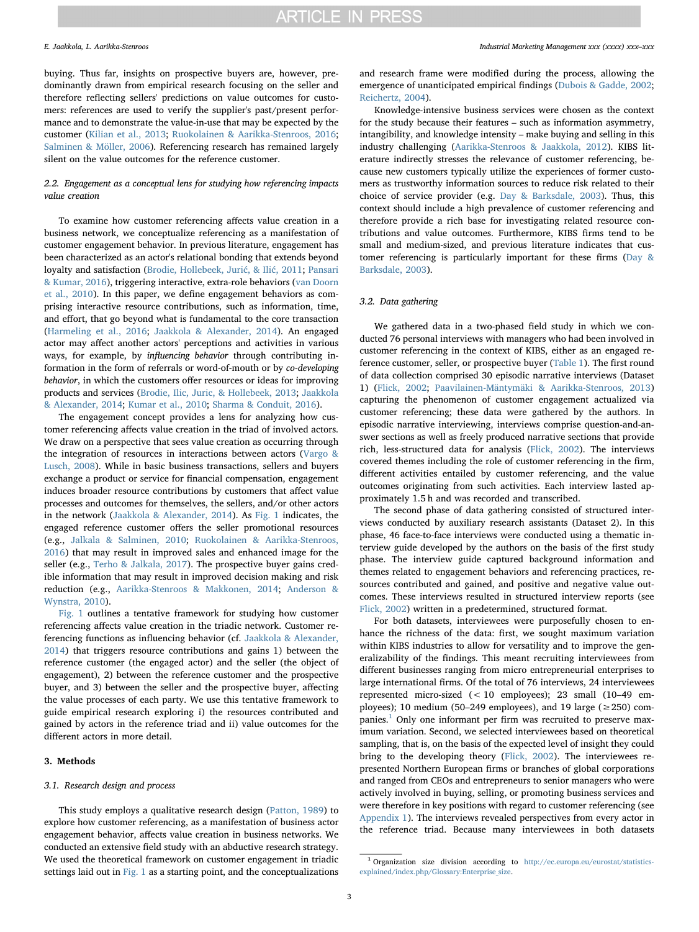buying. Thus far, insights on prospective buyers are, however, predominantly drawn from empirical research focusing on the seller and therefore reflecting sellers' predictions on value outcomes for customers: references are used to verify the supplier's past/present performance and to demonstrate the value-in-use that may be expected by the customer ([Kilian et al., 2013](#page-14-14); [Ruokolainen & Aarikka-Stenroos, 2016](#page-14-12); [Salminen & Möller, 2006\)](#page-15-0). Referencing research has remained largely silent on the value outcomes for the reference customer.

### 2.2. Engagement as a conceptual lens for studying how referencing impacts value creation

To examine how customer referencing affects value creation in a business network, we conceptualize referencing as a manifestation of customer engagement behavior. In previous literature, engagement has been characterized as an actor's relational bonding that extends beyond loyalty and satisfaction [\(Brodie, Hollebeek, Juri](#page-14-25)ć, & Ilić, 2011; [Pansari](#page-14-19) [& Kumar, 2016\)](#page-14-19), triggering interactive, extra-role behaviors [\(van Doorn](#page-14-2) [et al., 2010](#page-14-2)). In this paper, we define engagement behaviors as comprising interactive resource contributions, such as information, time, and effort, that go beyond what is fundamental to the core transaction ([Harmeling et al., 2016](#page-14-0); [Jaakkola & Alexander, 2014](#page-14-1)). An engaged actor may affect another actors' perceptions and activities in various ways, for example, by influencing behavior through contributing information in the form of referrals or word-of-mouth or by co-developing behavior, in which the customers offer resources or ideas for improving products and services ([Brodie, Ilic, Juric, & Hollebeek, 2013;](#page-14-26) [Jaakkola](#page-14-1) [& Alexander, 2014](#page-14-1); [Kumar et al., 2010](#page-14-27); [Sharma & Conduit, 2016\)](#page-15-9).

The engagement concept provides a lens for analyzing how customer referencing affects value creation in the triad of involved actors. We draw on a perspective that sees value creation as occurring through the integration of resources in interactions between actors ([Vargo &](#page-15-4) [Lusch, 2008](#page-15-4)). While in basic business transactions, sellers and buyers exchange a product or service for financial compensation, engagement induces broader resource contributions by customers that affect value processes and outcomes for themselves, the sellers, and/or other actors in the network [\(Jaakkola & Alexander, 2014\)](#page-14-1). As [Fig. 1](#page-3-0) indicates, the engaged reference customer offers the seller promotional resources (e.g., [Jalkala & Salminen, 2010;](#page-14-13) [Ruokolainen & Aarikka-Stenroos,](#page-14-12) [2016\)](#page-14-12) that may result in improved sales and enhanced image for the seller (e.g., [Terho & Jalkala, 2017\)](#page-15-1). The prospective buyer gains credible information that may result in improved decision making and risk reduction (e.g., [Aarikka-Stenroos & Makkonen, 2014](#page-14-3); [Anderson &](#page-14-4) [Wynstra, 2010\)](#page-14-4).

[Fig. 1](#page-3-0) outlines a tentative framework for studying how customer referencing affects value creation in the triadic network. Customer referencing functions as influencing behavior (cf. [Jaakkola & Alexander,](#page-14-1) [2014\)](#page-14-1) that triggers resource contributions and gains 1) between the reference customer (the engaged actor) and the seller (the object of engagement), 2) between the reference customer and the prospective buyer, and 3) between the seller and the prospective buyer, affecting the value processes of each party. We use this tentative framework to guide empirical research exploring i) the resources contributed and gained by actors in the reference triad and ii) value outcomes for the different actors in more detail.

### 3. Methods

#### 3.1. Research design and process

This study employs a qualitative research design ([Patton, 1989\)](#page-14-28) to explore how customer referencing, as a manifestation of business actor engagement behavior, affects value creation in business networks. We conducted an extensive field study with an abductive research strategy. We used the theoretical framework on customer engagement in triadic settings laid out in [Fig. 1](#page-3-0) as a starting point, and the conceptualizations and research frame were modified during the process, allowing the emergence of unanticipated empirical findings ([Dubois & Gadde, 2002](#page-14-29); [Reichertz, 2004\)](#page-14-30).

Knowledge-intensive business services were chosen as the context for the study because their features – such as information asymmetry, intangibility, and knowledge intensity – make buying and selling in this industry challenging ([Aarikka-Stenroos & Jaakkola, 2012](#page-14-6)). KIBS literature indirectly stresses the relevance of customer referencing, because new customers typically utilize the experiences of former customers as trustworthy information sources to reduce risk related to their choice of service provider (e.g. [Day & Barksdale, 2003](#page-14-31)). Thus, this context should include a high prevalence of customer referencing and therefore provide a rich base for investigating related resource contributions and value outcomes. Furthermore, KIBS firms tend to be small and medium-sized, and previous literature indicates that customer referencing is particularly important for these firms ([Day &](#page-14-31) [Barksdale, 2003\)](#page-14-31).

### 3.2. Data gathering

We gathered data in a two-phased field study in which we conducted 76 personal interviews with managers who had been involved in customer referencing in the context of KIBS, either as an engaged reference customer, seller, or prospective buyer ([Table 1\)](#page-3-1). The first round of data collection comprised 30 episodic narrative interviews (Dataset 1) ([Flick, 2002;](#page-14-32) [Paavilainen-Mäntymäki & Aarikka-Stenroos, 2013\)](#page-14-33) capturing the phenomenon of customer engagement actualized via customer referencing; these data were gathered by the authors. In episodic narrative interviewing, interviews comprise question-and-answer sections as well as freely produced narrative sections that provide rich, less-structured data for analysis [\(Flick, 2002\)](#page-14-32). The interviews covered themes including the role of customer referencing in the firm, different activities entailed by customer referencing, and the value outcomes originating from such activities. Each interview lasted approximately 1.5 h and was recorded and transcribed.

The second phase of data gathering consisted of structured interviews conducted by auxiliary research assistants (Dataset 2). In this phase, 46 face-to-face interviews were conducted using a thematic interview guide developed by the authors on the basis of the first study phase. The interview guide captured background information and themes related to engagement behaviors and referencing practices, resources contributed and gained, and positive and negative value outcomes. These interviews resulted in structured interview reports (see [Flick, 2002\)](#page-14-32) written in a predetermined, structured format.

For both datasets, interviewees were purposefully chosen to enhance the richness of the data: first, we sought maximum variation within KIBS industries to allow for versatility and to improve the generalizability of the findings. This meant recruiting interviewees from different businesses ranging from micro entrepreneurial enterprises to large international firms. Of the total of 76 interviews, 24 interviewees represented micro-sized (< 10 employees); 23 small (10–49 employees); 10 medium (50–249 employees), and 19 large ( $\geq$  250) com-panies.<sup>[1](#page-2-0)</sup> Only one informant per firm was recruited to preserve maximum variation. Second, we selected interviewees based on theoretical sampling, that is, on the basis of the expected level of insight they could bring to the developing theory [\(Flick, 2002\)](#page-14-32). The interviewees represented Northern European firms or branches of global corporations and ranged from CEOs and entrepreneurs to senior managers who were actively involved in buying, selling, or promoting business services and were therefore in key positions with regard to customer referencing (see [Appendix 1](#page-13-0)). The interviews revealed perspectives from every actor in the reference triad. Because many interviewees in both datasets

<span id="page-2-0"></span><sup>1</sup> Organization size division according to [http://ec.europa.eu/eurostat/statistics](http://ec.europa.eu/eurostat/statistics-explained/index.php/Glossary:Enterprise_size)explained/index.php/Glossary:Enterprise size.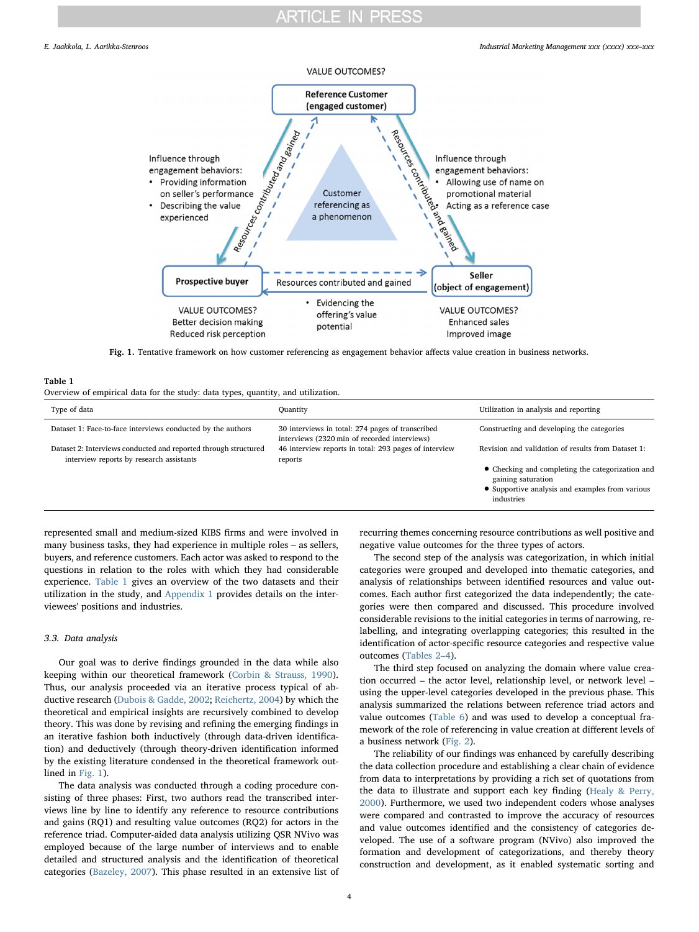<span id="page-3-0"></span>

Fig. 1. Tentative framework on how customer referencing as engagement behavior affects value creation in business networks.

#### <span id="page-3-1"></span>Table 1

Overview of empirical data for the study: data types, quantity, and utilization.

| Type of data                                                                                                | Ouantity                                                                                         | Utilization in analysis and reporting                                                                                                   |
|-------------------------------------------------------------------------------------------------------------|--------------------------------------------------------------------------------------------------|-----------------------------------------------------------------------------------------------------------------------------------------|
| Dataset 1: Face-to-face interviews conducted by the authors                                                 | 30 interviews in total: 274 pages of transcribed<br>interviews (2320 min of recorded interviews) | Constructing and developing the categories                                                                                              |
| Dataset 2: Interviews conducted and reported through structured<br>interview reports by research assistants | 46 interview reports in total: 293 pages of interview<br>reports                                 | Revision and validation of results from Dataset 1:                                                                                      |
|                                                                                                             |                                                                                                  | • Checking and completing the categorization and<br>gaining saturation<br>• Supportive analysis and examples from various<br>industries |

represented small and medium-sized KIBS firms and were involved in many business tasks, they had experience in multiple roles – as sellers, buyers, and reference customers. Each actor was asked to respond to the questions in relation to the roles with which they had considerable experience. [Table 1](#page-3-1) gives an overview of the two datasets and their utilization in the study, and [Appendix 1](#page-13-0) provides details on the interviewees' positions and industries.

#### 3.3. Data analysis

Our goal was to derive findings grounded in the data while also keeping within our theoretical framework ([Corbin & Strauss, 1990](#page-14-34)). Thus, our analysis proceeded via an iterative process typical of abductive research [\(Dubois & Gadde, 2002;](#page-14-29) [Reichertz, 2004](#page-14-30)) by which the theoretical and empirical insights are recursively combined to develop theory. This was done by revising and refining the emerging findings in an iterative fashion both inductively (through data-driven identification) and deductively (through theory-driven identification informed by the existing literature condensed in the theoretical framework outlined in [Fig. 1\)](#page-3-0).

The data analysis was conducted through a coding procedure consisting of three phases: First, two authors read the transcribed interviews line by line to identify any reference to resource contributions and gains (RQ1) and resulting value outcomes (RQ2) for actors in the reference triad. Computer-aided data analysis utilizing QSR NVivo was employed because of the large number of interviews and to enable detailed and structured analysis and the identification of theoretical categories [\(Bazeley, 2007](#page-14-35)). This phase resulted in an extensive list of recurring themes concerning resource contributions as well positive and negative value outcomes for the three types of actors.

The second step of the analysis was categorization, in which initial categories were grouped and developed into thematic categories, and analysis of relationships between identified resources and value outcomes. Each author first categorized the data independently; the categories were then compared and discussed. This procedure involved considerable revisions to the initial categories in terms of narrowing, relabelling, and integrating overlapping categories; this resulted in the identification of actor-specific resource categories and respective value outcomes ([Tables 2](#page-6-0)–4).

The third step focused on analyzing the domain where value creation occurred – the actor level, relationship level, or network level – using the upper-level categories developed in the previous phase. This analysis summarized the relations between reference triad actors and value outcomes ([Table 6](#page-10-0)) and was used to develop a conceptual framework of the role of referencing in value creation at different levels of a business network ([Fig. 2](#page-11-0)).

The reliability of our findings was enhanced by carefully describing the data collection procedure and establishing a clear chain of evidence from data to interpretations by providing a rich set of quotations from the data to illustrate and support each key finding (Healy [& Perry,](#page-14-36) [2000\)](#page-14-36). Furthermore, we used two independent coders whose analyses were compared and contrasted to improve the accuracy of resources and value outcomes identified and the consistency of categories developed. The use of a software program (NVivo) also improved the formation and development of categorizations, and thereby theory construction and development, as it enabled systematic sorting and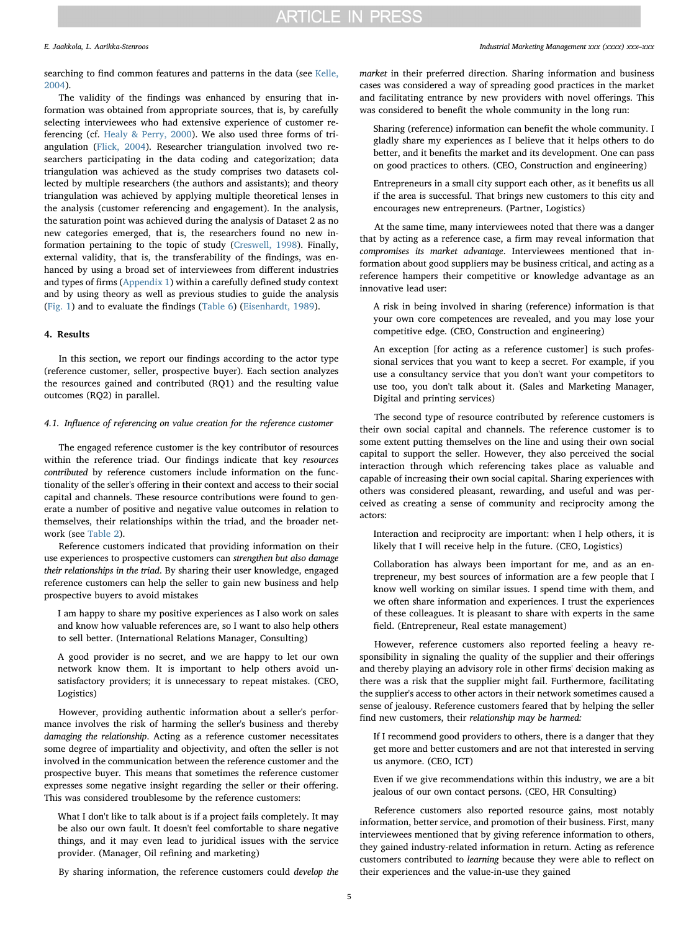searching to find common features and patterns in the data (see [Kelle,](#page-14-37) [2004\)](#page-14-37).

The validity of the findings was enhanced by ensuring that information was obtained from appropriate sources, that is, by carefully selecting interviewees who had extensive experience of customer referencing (cf. [Healy & Perry, 2000](#page-14-36)). We also used three forms of triangulation ([Flick, 2004](#page-14-38)). Researcher triangulation involved two researchers participating in the data coding and categorization; data triangulation was achieved as the study comprises two datasets collected by multiple researchers (the authors and assistants); and theory triangulation was achieved by applying multiple theoretical lenses in the analysis (customer referencing and engagement). In the analysis, the saturation point was achieved during the analysis of Dataset 2 as no new categories emerged, that is, the researchers found no new information pertaining to the topic of study [\(Creswell, 1998](#page-14-39)). Finally, external validity, that is, the transferability of the findings, was enhanced by using a broad set of interviewees from different industries and types of firms ([Appendix 1\)](#page-13-0) within a carefully defined study context and by using theory as well as previous studies to guide the analysis ([Fig. 1\)](#page-3-0) and to evaluate the findings [\(Table 6\)](#page-10-0) [\(Eisenhardt, 1989\)](#page-14-40).

### 4. Results

In this section, we report our findings according to the actor type (reference customer, seller, prospective buyer). Each section analyzes the resources gained and contributed (RQ1) and the resulting value outcomes (RQ2) in parallel.

### 4.1. Influence of referencing on value creation for the reference customer

The engaged reference customer is the key contributor of resources within the reference triad. Our findings indicate that key resources contributed by reference customers include information on the functionality of the seller's offering in their context and access to their social capital and channels. These resource contributions were found to generate a number of positive and negative value outcomes in relation to themselves, their relationships within the triad, and the broader network (see [Table 2\)](#page-6-0).

Reference customers indicated that providing information on their use experiences to prospective customers can strengthen but also damage their relationships in the triad. By sharing their user knowledge, engaged reference customers can help the seller to gain new business and help prospective buyers to avoid mistakes

I am happy to share my positive experiences as I also work on sales and know how valuable references are, so I want to also help others to sell better. (International Relations Manager, Consulting)

A good provider is no secret, and we are happy to let our own network know them. It is important to help others avoid unsatisfactory providers; it is unnecessary to repeat mistakes. (CEO, Logistics)

However, providing authentic information about a seller's performance involves the risk of harming the seller's business and thereby damaging the relationship. Acting as a reference customer necessitates some degree of impartiality and objectivity, and often the seller is not involved in the communication between the reference customer and the prospective buyer. This means that sometimes the reference customer expresses some negative insight regarding the seller or their offering. This was considered troublesome by the reference customers:

What I don't like to talk about is if a project fails completely. It may be also our own fault. It doesn't feel comfortable to share negative things, and it may even lead to juridical issues with the service provider. (Manager, Oil refining and marketing)

By sharing information, the reference customers could develop the

market in their preferred direction. Sharing information and business cases was considered a way of spreading good practices in the market and facilitating entrance by new providers with novel offerings. This was considered to benefit the whole community in the long run:

Sharing (reference) information can benefit the whole community. I gladly share my experiences as I believe that it helps others to do better, and it benefits the market and its development. One can pass on good practices to others. (CEO, Construction and engineering)

Entrepreneurs in a small city support each other, as it benefits us all if the area is successful. That brings new customers to this city and encourages new entrepreneurs. (Partner, Logistics)

At the same time, many interviewees noted that there was a danger that by acting as a reference case, a firm may reveal information that compromises its market advantage. Interviewees mentioned that information about good suppliers may be business critical, and acting as a reference hampers their competitive or knowledge advantage as an innovative lead user:

A risk in being involved in sharing (reference) information is that your own core competences are revealed, and you may lose your competitive edge. (CEO, Construction and engineering)

An exception [for acting as a reference customer] is such professional services that you want to keep a secret. For example, if you use a consultancy service that you don't want your competitors to use too, you don't talk about it. (Sales and Marketing Manager, Digital and printing services)

The second type of resource contributed by reference customers is their own social capital and channels. The reference customer is to some extent putting themselves on the line and using their own social capital to support the seller. However, they also perceived the social interaction through which referencing takes place as valuable and capable of increasing their own social capital. Sharing experiences with others was considered pleasant, rewarding, and useful and was perceived as creating a sense of community and reciprocity among the actors:

Interaction and reciprocity are important: when I help others, it is likely that I will receive help in the future. (CEO, Logistics)

Collaboration has always been important for me, and as an entrepreneur, my best sources of information are a few people that I know well working on similar issues. I spend time with them, and we often share information and experiences. I trust the experiences of these colleagues. It is pleasant to share with experts in the same field. (Entrepreneur, Real estate management)

However, reference customers also reported feeling a heavy responsibility in signaling the quality of the supplier and their offerings and thereby playing an advisory role in other firms' decision making as there was a risk that the supplier might fail. Furthermore, facilitating the supplier's access to other actors in their network sometimes caused a sense of jealousy. Reference customers feared that by helping the seller find new customers, their relationship may be harmed:

If I recommend good providers to others, there is a danger that they get more and better customers and are not that interested in serving us anymore. (CEO, ICT)

Even if we give recommendations within this industry, we are a bit jealous of our own contact persons. (CEO, HR Consulting)

Reference customers also reported resource gains, most notably information, better service, and promotion of their business. First, many interviewees mentioned that by giving reference information to others, they gained industry-related information in return. Acting as reference customers contributed to learning because they were able to reflect on their experiences and the value-in-use they gained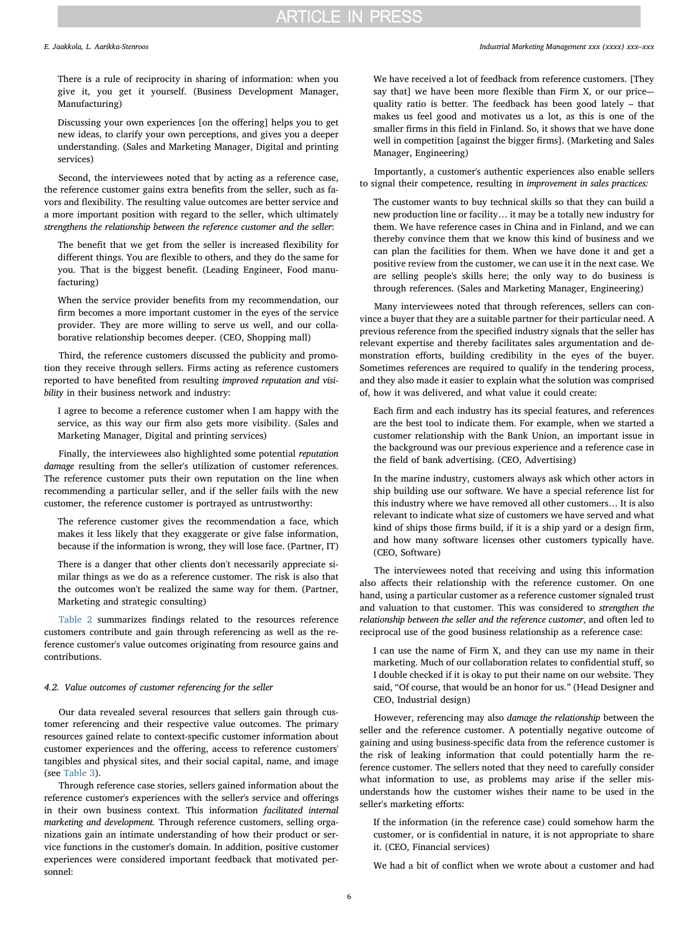E. Jaakkola, L. Aarikka-Stenroos *Industrial Marketing Management xxx (xxxx) xxx–xxx*

There is a rule of reciprocity in sharing of information: when you give it, you get it yourself. (Business Development Manager, Manufacturing)

Discussing your own experiences [on the offering] helps you to get new ideas, to clarify your own perceptions, and gives you a deeper understanding. (Sales and Marketing Manager, Digital and printing services)

Second, the interviewees noted that by acting as a reference case, the reference customer gains extra benefits from the seller, such as favors and flexibility. The resulting value outcomes are better service and a more important position with regard to the seller, which ultimately strengthens the relationship between the reference customer and the seller:

The benefit that we get from the seller is increased flexibility for different things. You are flexible to others, and they do the same for you. That is the biggest benefit. (Leading Engineer, Food manufacturing)

When the service provider benefits from my recommendation, our firm becomes a more important customer in the eyes of the service provider. They are more willing to serve us well, and our collaborative relationship becomes deeper. (CEO, Shopping mall)

Third, the reference customers discussed the publicity and promotion they receive through sellers. Firms acting as reference customers reported to have benefited from resulting improved reputation and visibility in their business network and industry:

I agree to become a reference customer when I am happy with the service, as this way our firm also gets more visibility. (Sales and Marketing Manager, Digital and printing services)

Finally, the interviewees also highlighted some potential reputation damage resulting from the seller's utilization of customer references. The reference customer puts their own reputation on the line when recommending a particular seller, and if the seller fails with the new customer, the reference customer is portrayed as untrustworthy:

The reference customer gives the recommendation a face, which makes it less likely that they exaggerate or give false information, because if the information is wrong, they will lose face. (Partner, IT)

There is a danger that other clients don't necessarily appreciate similar things as we do as a reference customer. The risk is also that the outcomes won't be realized the same way for them. (Partner, Marketing and strategic consulting)

[Table 2](#page-6-0) summarizes findings related to the resources reference customers contribute and gain through referencing as well as the reference customer's value outcomes originating from resource gains and contributions.

### 4.2. Value outcomes of customer referencing for the seller

Our data revealed several resources that sellers gain through customer referencing and their respective value outcomes. The primary resources gained relate to context-specific customer information about customer experiences and the offering, access to reference customers' tangibles and physical sites, and their social capital, name, and image (see [Table 3\)](#page-7-0).

Through reference case stories, sellers gained information about the reference customer's experiences with the seller's service and offerings in their own business context. This information facilitated internal marketing and development. Through reference customers, selling organizations gain an intimate understanding of how their product or service functions in the customer's domain. In addition, positive customer experiences were considered important feedback that motivated personnel:

We have received a lot of feedback from reference customers. [They say that] we have been more flexible than Firm X, or our price– quality ratio is better. The feedback has been good lately – that makes us feel good and motivates us a lot, as this is one of the smaller firms in this field in Finland. So, it shows that we have done well in competition [against the bigger firms]. (Marketing and Sales Manager, Engineering)

Importantly, a customer's authentic experiences also enable sellers to signal their competence, resulting in improvement in sales practices:

The customer wants to buy technical skills so that they can build a new production line or facility… it may be a totally new industry for them. We have reference cases in China and in Finland, and we can thereby convince them that we know this kind of business and we can plan the facilities for them. When we have done it and get a positive review from the customer, we can use it in the next case. We are selling people's skills here; the only way to do business is through references. (Sales and Marketing Manager, Engineering)

Many interviewees noted that through references, sellers can convince a buyer that they are a suitable partner for their particular need. A previous reference from the specified industry signals that the seller has relevant expertise and thereby facilitates sales argumentation and demonstration efforts, building credibility in the eyes of the buyer. Sometimes references are required to qualify in the tendering process, and they also made it easier to explain what the solution was comprised of, how it was delivered, and what value it could create:

Each firm and each industry has its special features, and references are the best tool to indicate them. For example, when we started a customer relationship with the Bank Union, an important issue in the background was our previous experience and a reference case in the field of bank advertising. (CEO, Advertising)

In the marine industry, customers always ask which other actors in ship building use our software. We have a special reference list for this industry where we have removed all other customers… It is also relevant to indicate what size of customers we have served and what kind of ships those firms build, if it is a ship yard or a design firm, and how many software licenses other customers typically have. (CEO, Software)

The interviewees noted that receiving and using this information also affects their relationship with the reference customer. On one hand, using a particular customer as a reference customer signaled trust and valuation to that customer. This was considered to strengthen the relationship between the seller and the reference customer, and often led to reciprocal use of the good business relationship as a reference case:

I can use the name of Firm X, and they can use my name in their marketing. Much of our collaboration relates to confidential stuff, so I double checked if it is okay to put their name on our website. They said, "Of course, that would be an honor for us." (Head Designer and CEO, Industrial design)

However, referencing may also damage the relationship between the seller and the reference customer. A potentially negative outcome of gaining and using business-specific data from the reference customer is the risk of leaking information that could potentially harm the reference customer. The sellers noted that they need to carefully consider what information to use, as problems may arise if the seller misunderstands how the customer wishes their name to be used in the seller's marketing efforts:

If the information (in the reference case) could somehow harm the customer, or is confidential in nature, it is not appropriate to share it. (CEO, Financial services)

We had a bit of conflict when we wrote about a customer and had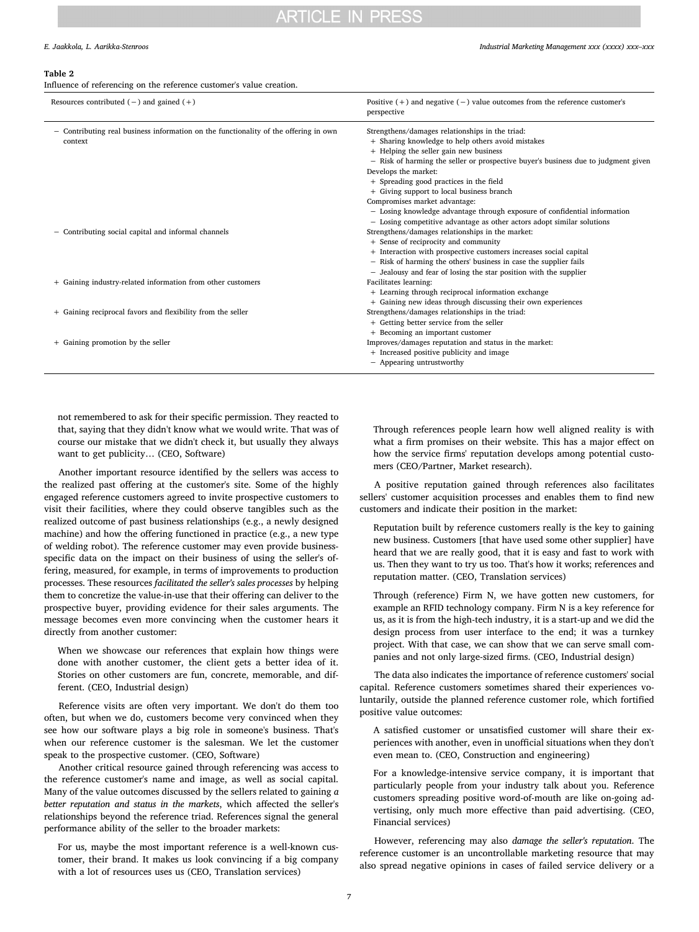#### E. Jaakkola, L. Aarikka-Stenroos *Industrial Marketing Management xxx (xxxx) xxx–xxx*

#### <span id="page-6-0"></span>Table 2

Influence of referencing on the reference customer's value creation.

| Resources contributed $(-)$ and gained $(+)$                                                    | Positive $(+)$ and negative $(-)$ value outcomes from the reference customer's<br>perspective                                                                                                                                                                                                                                                                                                                                                                                                                                                |
|-------------------------------------------------------------------------------------------------|----------------------------------------------------------------------------------------------------------------------------------------------------------------------------------------------------------------------------------------------------------------------------------------------------------------------------------------------------------------------------------------------------------------------------------------------------------------------------------------------------------------------------------------------|
| - Contributing real business information on the functionality of the offering in own<br>context | Strengthens/damages relationships in the triad:<br>+ Sharing knowledge to help others avoid mistakes<br>+ Helping the seller gain new business<br>- Risk of harming the seller or prospective buyer's business due to judgment given<br>Develops the market:<br>+ Spreading good practices in the field<br>+ Giving support to local business branch<br>Compromises market advantage:<br>- Losing knowledge advantage through exposure of confidential information<br>- Losing competitive advantage as other actors adopt similar solutions |
| - Contributing social capital and informal channels                                             | Strengthens/damages relationships in the market:<br>+ Sense of reciprocity and community<br>+ Interaction with prospective customers increases social capital<br>- Risk of harming the others' business in case the supplier fails<br>- Jealousy and fear of losing the star position with the supplier                                                                                                                                                                                                                                      |
| + Gaining industry-related information from other customers                                     | Facilitates learning:<br>+ Learning through reciprocal information exchange<br>+ Gaining new ideas through discussing their own experiences                                                                                                                                                                                                                                                                                                                                                                                                  |
| + Gaining reciprocal favors and flexibility from the seller                                     | Strengthens/damages relationships in the triad:<br>+ Getting better service from the seller<br>+ Becoming an important customer                                                                                                                                                                                                                                                                                                                                                                                                              |
| + Gaining promotion by the seller                                                               | Improves/damages reputation and status in the market:<br>+ Increased positive publicity and image<br>- Appearing untrustworthy                                                                                                                                                                                                                                                                                                                                                                                                               |

not remembered to ask for their specific permission. They reacted to that, saying that they didn't know what we would write. That was of course our mistake that we didn't check it, but usually they always want to get publicity… (CEO, Software)

Another important resource identified by the sellers was access to the realized past offering at the customer's site. Some of the highly engaged reference customers agreed to invite prospective customers to visit their facilities, where they could observe tangibles such as the realized outcome of past business relationships (e.g., a newly designed machine) and how the offering functioned in practice (e.g., a new type of welding robot). The reference customer may even provide businessspecific data on the impact on their business of using the seller's offering, measured, for example, in terms of improvements to production processes. These resources facilitated the seller's sales processes by helping them to concretize the value-in-use that their offering can deliver to the prospective buyer, providing evidence for their sales arguments. The message becomes even more convincing when the customer hears it directly from another customer:

When we showcase our references that explain how things were done with another customer, the client gets a better idea of it. Stories on other customers are fun, concrete, memorable, and different. (CEO, Industrial design)

Reference visits are often very important. We don't do them too often, but when we do, customers become very convinced when they see how our software plays a big role in someone's business. That's when our reference customer is the salesman. We let the customer speak to the prospective customer. (CEO, Software)

Another critical resource gained through referencing was access to the reference customer's name and image, as well as social capital. Many of the value outcomes discussed by the sellers related to gaining a better reputation and status in the markets, which affected the seller's relationships beyond the reference triad. References signal the general performance ability of the seller to the broader markets:

For us, maybe the most important reference is a well-known customer, their brand. It makes us look convincing if a big company with a lot of resources uses us (CEO, Translation services)

Through references people learn how well aligned reality is with what a firm promises on their website. This has a major effect on how the service firms' reputation develops among potential customers (CEO/Partner, Market research).

A positive reputation gained through references also facilitates sellers' customer acquisition processes and enables them to find new customers and indicate their position in the market:

Reputation built by reference customers really is the key to gaining new business. Customers [that have used some other supplier] have heard that we are really good, that it is easy and fast to work with us. Then they want to try us too. That's how it works; references and reputation matter. (CEO, Translation services)

Through (reference) Firm N, we have gotten new customers, for example an RFID technology company. Firm N is a key reference for us, as it is from the high-tech industry, it is a start-up and we did the design process from user interface to the end; it was a turnkey project. With that case, we can show that we can serve small companies and not only large-sized firms. (CEO, Industrial design)

The data also indicates the importance of reference customers' social capital. Reference customers sometimes shared their experiences voluntarily, outside the planned reference customer role, which fortified positive value outcomes:

A satisfied customer or unsatisfied customer will share their experiences with another, even in unofficial situations when they don't even mean to. (CEO, Construction and engineering)

For a knowledge-intensive service company, it is important that particularly people from your industry talk about you. Reference customers spreading positive word-of-mouth are like on-going advertising, only much more effective than paid advertising. (CEO, Financial services)

However, referencing may also damage the seller's reputation. The reference customer is an uncontrollable marketing resource that may also spread negative opinions in cases of failed service delivery or a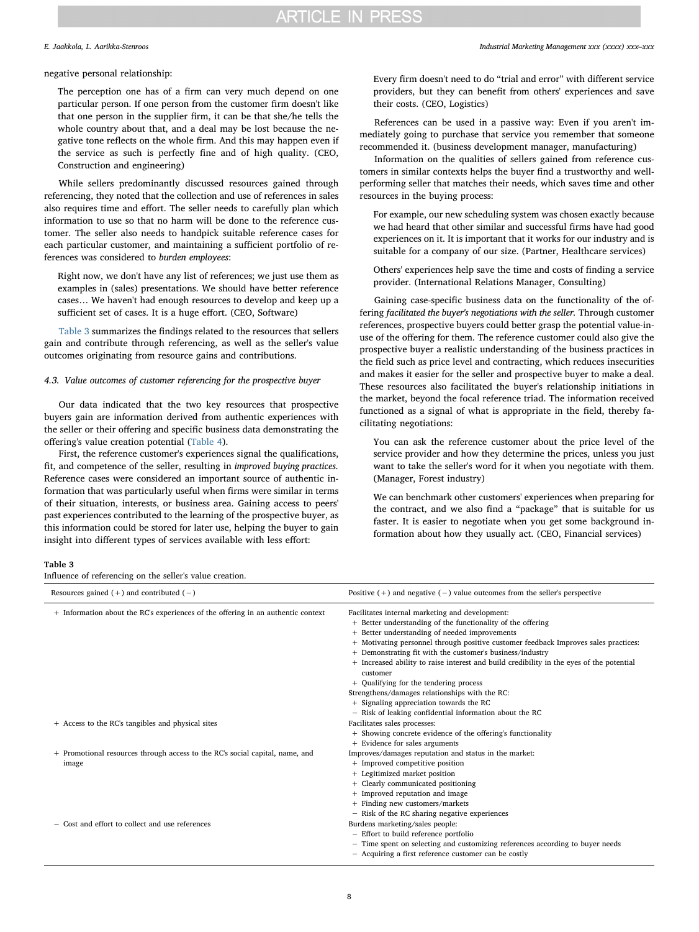#### E. Jaakkola, L. Aarikka-Stenroos *Industrial Marketing Management xxx (xxxx) xxx–xxx*

#### negative personal relationship:

The perception one has of a firm can very much depend on one particular person. If one person from the customer firm doesn't like that one person in the supplier firm, it can be that she/he tells the whole country about that, and a deal may be lost because the negative tone reflects on the whole firm. And this may happen even if the service as such is perfectly fine and of high quality. (CEO, Construction and engineering)

While sellers predominantly discussed resources gained through referencing, they noted that the collection and use of references in sales also requires time and effort. The seller needs to carefully plan which information to use so that no harm will be done to the reference customer. The seller also needs to handpick suitable reference cases for each particular customer, and maintaining a sufficient portfolio of references was considered to burden employees:

Right now, we don't have any list of references; we just use them as examples in (sales) presentations. We should have better reference cases… We haven't had enough resources to develop and keep up a sufficient set of cases. It is a huge effort. (CEO, Software)

[Table 3](#page-7-0) summarizes the findings related to the resources that sellers gain and contribute through referencing, as well as the seller's value outcomes originating from resource gains and contributions.

#### 4.3. Value outcomes of customer referencing for the prospective buyer

Our data indicated that the two key resources that prospective buyers gain are information derived from authentic experiences with the seller or their offering and specific business data demonstrating the offering's value creation potential ([Table 4](#page-8-0)).

First, the reference customer's experiences signal the qualifications, fit, and competence of the seller, resulting in improved buying practices. Reference cases were considered an important source of authentic information that was particularly useful when firms were similar in terms of their situation, interests, or business area. Gaining access to peers' past experiences contributed to the learning of the prospective buyer, as this information could be stored for later use, helping the buyer to gain insight into different types of services available with less effort:

Every firm doesn't need to do "trial and error" with different service providers, but they can benefit from others' experiences and save their costs. (CEO, Logistics)

References can be used in a passive way: Even if you aren't immediately going to purchase that service you remember that someone recommended it. (business development manager, manufacturing)

Information on the qualities of sellers gained from reference customers in similar contexts helps the buyer find a trustworthy and wellperforming seller that matches their needs, which saves time and other resources in the buying process:

For example, our new scheduling system was chosen exactly because we had heard that other similar and successful firms have had good experiences on it. It is important that it works for our industry and is suitable for a company of our size. (Partner, Healthcare services)

Others' experiences help save the time and costs of finding a service provider. (International Relations Manager, Consulting)

Gaining case-specific business data on the functionality of the offering facilitated the buyer's negotiations with the seller. Through customer references, prospective buyers could better grasp the potential value-inuse of the offering for them. The reference customer could also give the prospective buyer a realistic understanding of the business practices in the field such as price level and contracting, which reduces insecurities and makes it easier for the seller and prospective buyer to make a deal. These resources also facilitated the buyer's relationship initiations in the market, beyond the focal reference triad. The information received functioned as a signal of what is appropriate in the field, thereby facilitating negotiations:

You can ask the reference customer about the price level of the service provider and how they determine the prices, unless you just want to take the seller's word for it when you negotiate with them. (Manager, Forest industry)

We can benchmark other customers' experiences when preparing for the contract, and we also find a "package" that is suitable for us faster. It is easier to negotiate when you get some background information about how they usually act. (CEO, Financial services)

#### <span id="page-7-0"></span>Table 3

Influence of referencing on the seller's value creation.

| Resources gained $(+)$ and contributed $(-)$                                          | Positive $(+)$ and negative $(-)$ value outcomes from the seller's perspective                                                                                                                                                                                                                                                                                                                                                                                                                                                                                                                                                |
|---------------------------------------------------------------------------------------|-------------------------------------------------------------------------------------------------------------------------------------------------------------------------------------------------------------------------------------------------------------------------------------------------------------------------------------------------------------------------------------------------------------------------------------------------------------------------------------------------------------------------------------------------------------------------------------------------------------------------------|
| + Information about the RC's experiences of the offering in an authentic context      | Facilitates internal marketing and development:<br>+ Better understanding of the functionality of the offering<br>+ Better understanding of needed improvements<br>+ Motivating personnel through positive customer feedback Improves sales practices:<br>+ Demonstrating fit with the customer's business/industry<br>+ Increased ability to raise interest and build credibility in the eyes of the potential<br>customer<br>+ Qualifying for the tendering process<br>Strengthens/damages relationships with the RC:<br>+ Signaling appreciation towards the RC<br>- Risk of leaking confidential information about the RC |
| + Access to the RC's tangibles and physical sites                                     | Facilitates sales processes:<br>+ Showing concrete evidence of the offering's functionality<br>+ Evidence for sales arguments                                                                                                                                                                                                                                                                                                                                                                                                                                                                                                 |
| + Promotional resources through access to the RC's social capital, name, and<br>image | Improves/damages reputation and status in the market:<br>+ Improved competitive position<br>+ Legitimized market position<br>+ Clearly communicated positioning<br>+ Improved reputation and image<br>+ Finding new customers/markets<br>- Risk of the RC sharing negative experiences                                                                                                                                                                                                                                                                                                                                        |
| - Cost and effort to collect and use references                                       | Burdens marketing/sales people:<br>- Effort to build reference portfolio<br>- Time spent on selecting and customizing references according to buyer needs<br>- Acquiring a first reference customer can be costly                                                                                                                                                                                                                                                                                                                                                                                                             |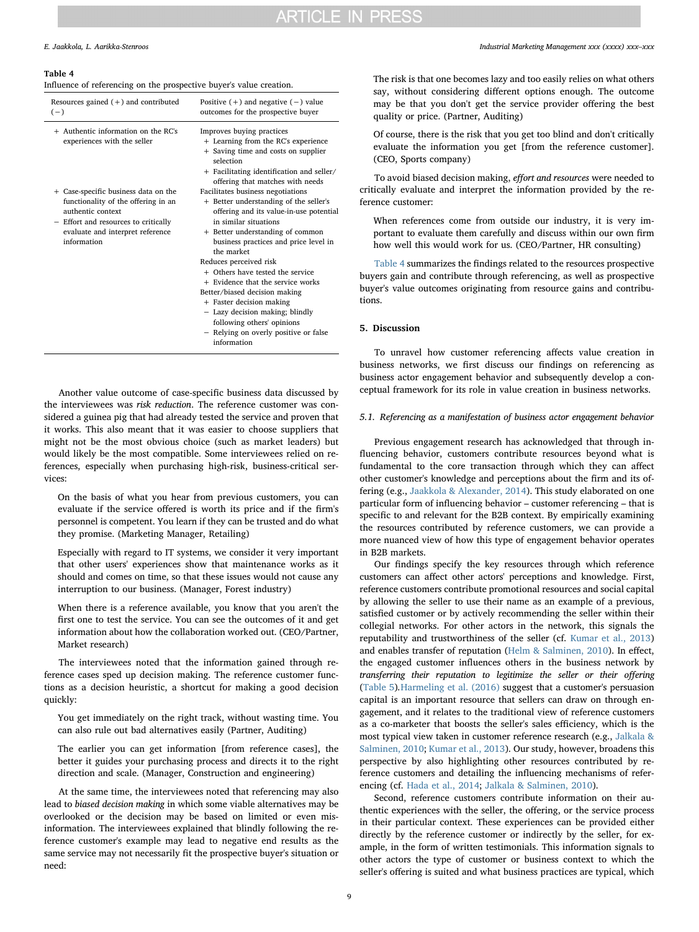#### <span id="page-8-0"></span>Table 4

Influence of referencing on the prospective buyer's value creation.

| Resources gained $(+)$ and contributed<br>$(-)$                                                                                                                                             | Positive $(+)$ and negative $(-)$ value<br>outcomes for the prospective buyer                                                                                                                                                                                                         |
|---------------------------------------------------------------------------------------------------------------------------------------------------------------------------------------------|---------------------------------------------------------------------------------------------------------------------------------------------------------------------------------------------------------------------------------------------------------------------------------------|
| $+$ Authentic information on the RC's<br>experiences with the seller                                                                                                                        | Improves buying practices<br>+ Learning from the RC's experience<br>+ Saving time and costs on supplier<br>selection<br>+ Facilitating identification and seller/<br>offering that matches with needs                                                                                 |
| + Case-specific business data on the<br>functionality of the offering in an<br>authentic context<br>- Effort and resources to critically<br>evaluate and interpret reference<br>information | Facilitates business negotiations<br>+ Better understanding of the seller's<br>offering and its value-in-use potential<br>in similar situations<br>+ Better understanding of common<br>business practices and price level in<br>the market                                            |
|                                                                                                                                                                                             | Reduces perceived risk<br>+ Others have tested the service<br>+ Evidence that the service works<br>Better/biased decision making<br>+ Faster decision making<br>- Lazy decision making; blindly<br>following others' opinions<br>- Relying on overly positive or false<br>information |

Another value outcome of case-specific business data discussed by the interviewees was risk reduction. The reference customer was considered a guinea pig that had already tested the service and proven that it works. This also meant that it was easier to choose suppliers that might not be the most obvious choice (such as market leaders) but would likely be the most compatible. Some interviewees relied on references, especially when purchasing high-risk, business-critical services:

On the basis of what you hear from previous customers, you can evaluate if the service offered is worth its price and if the firm's personnel is competent. You learn if they can be trusted and do what they promise. (Marketing Manager, Retailing)

Especially with regard to IT systems, we consider it very important that other users' experiences show that maintenance works as it should and comes on time, so that these issues would not cause any interruption to our business. (Manager, Forest industry)

When there is a reference available, you know that you aren't the first one to test the service. You can see the outcomes of it and get information about how the collaboration worked out. (CEO/Partner, Market research)

The interviewees noted that the information gained through reference cases sped up decision making. The reference customer functions as a decision heuristic, a shortcut for making a good decision quickly:

You get immediately on the right track, without wasting time. You can also rule out bad alternatives easily (Partner, Auditing)

The earlier you can get information [from reference cases], the better it guides your purchasing process and directs it to the right direction and scale. (Manager, Construction and engineering)

At the same time, the interviewees noted that referencing may also lead to biased decision making in which some viable alternatives may be overlooked or the decision may be based on limited or even misinformation. The interviewees explained that blindly following the reference customer's example may lead to negative end results as the same service may not necessarily fit the prospective buyer's situation or need:

#### E. Jaakkola, L. Aarikka-Stenroos *Industrial Marketing Management xxx (xxxx) xxx–xxx*

The risk is that one becomes lazy and too easily relies on what others say, without considering different options enough. The outcome may be that you don't get the service provider offering the best quality or price. (Partner, Auditing)

Of course, there is the risk that you get too blind and don't critically evaluate the information you get [from the reference customer]. (CEO, Sports company)

To avoid biased decision making, effort and resources were needed to critically evaluate and interpret the information provided by the reference customer:

When references come from outside our industry, it is very important to evaluate them carefully and discuss within our own firm how well this would work for us. (CEO/Partner, HR consulting)

[Table 4](#page-8-0) summarizes the findings related to the resources prospective buyers gain and contribute through referencing, as well as prospective buyer's value outcomes originating from resource gains and contributions.

#### 5. Discussion

To unravel how customer referencing affects value creation in business networks, we first discuss our findings on referencing as business actor engagement behavior and subsequently develop a conceptual framework for its role in value creation in business networks.

#### 5.1. Referencing as a manifestation of business actor engagement behavior

Previous engagement research has acknowledged that through influencing behavior, customers contribute resources beyond what is fundamental to the core transaction through which they can affect other customer's knowledge and perceptions about the firm and its offering (e.g., [Jaakkola & Alexander, 2014\)](#page-14-1). This study elaborated on one particular form of influencing behavior – customer referencing – that is specific to and relevant for the B2B context. By empirically examining the resources contributed by reference customers, we can provide a more nuanced view of how this type of engagement behavior operates in B2B markets.

Our findings specify the key resources through which reference customers can affect other actors' perceptions and knowledge. First, reference customers contribute promotional resources and social capital by allowing the seller to use their name as an example of a previous, satisfied customer or by actively recommending the seller within their collegial networks. For other actors in the network, this signals the reputability and trustworthiness of the seller (cf. [Kumar et al., 2013\)](#page-14-15) and enables transfer of reputation [\(Helm & Salminen, 2010](#page-14-8)). In effect, the engaged customer influences others in the business network by transferring their reputation to legitimize the seller or their offering ([Table 5](#page-9-0)).[Harmeling et al. \(2016\)](#page-14-0) suggest that a customer's persuasion capital is an important resource that sellers can draw on through engagement, and it relates to the traditional view of reference customers as a co-marketer that boosts the seller's sales efficiency, which is the most typical view taken in customer reference research (e.g., [Jalkala &](#page-14-13) [Salminen, 2010](#page-14-13); [Kumar et al., 2013](#page-14-15)). Our study, however, broadens this perspective by also highlighting other resources contributed by reference customers and detailing the influencing mechanisms of referencing (cf. [Hada et al., 2014;](#page-14-10) [Jalkala & Salminen, 2010\)](#page-14-13).

Second, reference customers contribute information on their authentic experiences with the seller, the offering, or the service process in their particular context. These experiences can be provided either directly by the reference customer or indirectly by the seller, for example, in the form of written testimonials. This information signals to other actors the type of customer or business context to which the seller's offering is suited and what business practices are typical, which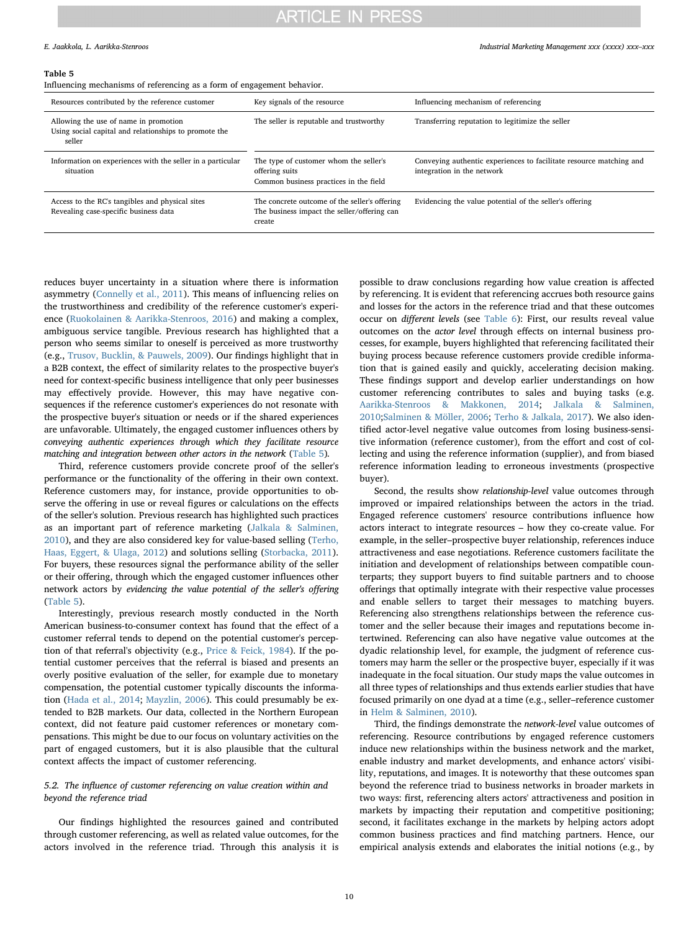E. Jaakkola, L. Aarikka-Stenroos *Industrial Marketing Management xxx (xxxx) xxx–xxx*

#### <span id="page-9-0"></span>Table 5

Influencing mechanisms of referencing as a form of engagement behavior.

| Resources contributed by the reference customer                                                          | Key signals of the resource                                                                            | Influencing mechanism of referencing                                                              |
|----------------------------------------------------------------------------------------------------------|--------------------------------------------------------------------------------------------------------|---------------------------------------------------------------------------------------------------|
| Allowing the use of name in promotion<br>Using social capital and relationships to promote the<br>seller | The seller is reputable and trustworthy                                                                | Transferring reputation to legitimize the seller                                                  |
| Information on experiences with the seller in a particular<br>situation                                  | The type of customer whom the seller's<br>offering suits<br>Common business practices in the field     | Conveying authentic experiences to facilitate resource matching and<br>integration in the network |
| Access to the RC's tangibles and physical sites<br>Revealing case-specific business data                 | The concrete outcome of the seller's offering<br>The business impact the seller/offering can<br>create | Evidencing the value potential of the seller's offering                                           |

reduces buyer uncertainty in a situation where there is information asymmetry [\(Connelly et al., 2011](#page-14-20)). This means of influencing relies on the trustworthiness and credibility of the reference customer's experience ([Ruokolainen & Aarikka-Stenroos, 2016\)](#page-14-12) and making a complex, ambiguous service tangible. Previous research has highlighted that a person who seems similar to oneself is perceived as more trustworthy (e.g., [Trusov, Bucklin, & Pauwels, 2009\)](#page-15-10). Our findings highlight that in a B2B context, the effect of similarity relates to the prospective buyer's need for context-specific business intelligence that only peer businesses may effectively provide. However, this may have negative consequences if the reference customer's experiences do not resonate with the prospective buyer's situation or needs or if the shared experiences are unfavorable. Ultimately, the engaged customer influences others by conveying authentic experiences through which they facilitate resource matching and integration between other actors in the network ([Table 5](#page-9-0)).

Third, reference customers provide concrete proof of the seller's performance or the functionality of the offering in their own context. Reference customers may, for instance, provide opportunities to observe the offering in use or reveal figures or calculations on the effects of the seller's solution. Previous research has highlighted such practices as an important part of reference marketing ([Jalkala & Salminen,](#page-14-13) [2010\)](#page-14-13), and they are also considered key for value-based selling ([Terho,](#page-15-11) [Haas, Eggert, & Ulaga, 2012](#page-15-11)) and solutions selling [\(Storbacka, 2011](#page-15-12)). For buyers, these resources signal the performance ability of the seller or their offering, through which the engaged customer influences other network actors by evidencing the value potential of the seller's offering ([Table 5](#page-9-0)).

Interestingly, previous research mostly conducted in the North American business-to-consumer context has found that the effect of a customer referral tends to depend on the potential customer's perception of that referral's objectivity (e.g., [Price & Feick, 1984\)](#page-14-41). If the potential customer perceives that the referral is biased and presents an overly positive evaluation of the seller, for example due to monetary compensation, the potential customer typically discounts the information [\(Hada et al., 2014](#page-14-10); [Mayzlin, 2006\)](#page-14-42). This could presumably be extended to B2B markets. Our data, collected in the Northern European context, did not feature paid customer references or monetary compensations. This might be due to our focus on voluntary activities on the part of engaged customers, but it is also plausible that the cultural context affects the impact of customer referencing.

### 5.2. The influence of customer referencing on value creation within and beyond the reference triad

Our findings highlighted the resources gained and contributed through customer referencing, as well as related value outcomes, for the actors involved in the reference triad. Through this analysis it is possible to draw conclusions regarding how value creation is affected by referencing. It is evident that referencing accrues both resource gains and losses for the actors in the reference triad and that these outcomes occur on different levels (see [Table 6\)](#page-10-0): First, our results reveal value outcomes on the actor level through effects on internal business processes, for example, buyers highlighted that referencing facilitated their buying process because reference customers provide credible information that is gained easily and quickly, accelerating decision making. These findings support and develop earlier understandings on how customer referencing contributes to sales and buying tasks (e.g. [Aarikka-Stenroos & Makkonen, 2014;](#page-14-3) [Jalkala & Salminen,](#page-14-13) [2010;](#page-14-13)[Salminen & Möller, 2006](#page-15-0); [Terho & Jalkala, 2017](#page-15-1)). We also identified actor-level negative value outcomes from losing business-sensitive information (reference customer), from the effort and cost of collecting and using the reference information (supplier), and from biased reference information leading to erroneous investments (prospective buyer).

Second, the results show relationship-level value outcomes through improved or impaired relationships between the actors in the triad. Engaged reference customers' resource contributions influence how actors interact to integrate resources – how they co-create value. For example, in the seller–prospective buyer relationship, references induce attractiveness and ease negotiations. Reference customers facilitate the initiation and development of relationships between compatible counterparts; they support buyers to find suitable partners and to choose offerings that optimally integrate with their respective value processes and enable sellers to target their messages to matching buyers. Referencing also strengthens relationships between the reference customer and the seller because their images and reputations become intertwined. Referencing can also have negative value outcomes at the dyadic relationship level, for example, the judgment of reference customers may harm the seller or the prospective buyer, especially if it was inadequate in the focal situation. Our study maps the value outcomes in all three types of relationships and thus extends earlier studies that have focused primarily on one dyad at a time (e.g., seller–reference customer in [Helm & Salminen, 2010\)](#page-14-8).

Third, the findings demonstrate the network-level value outcomes of referencing. Resource contributions by engaged reference customers induce new relationships within the business network and the market, enable industry and market developments, and enhance actors' visibility, reputations, and images. It is noteworthy that these outcomes span beyond the reference triad to business networks in broader markets in two ways: first, referencing alters actors' attractiveness and position in markets by impacting their reputation and competitive positioning; second, it facilitates exchange in the markets by helping actors adopt common business practices and find matching partners. Hence, our empirical analysis extends and elaborates the initial notions (e.g., by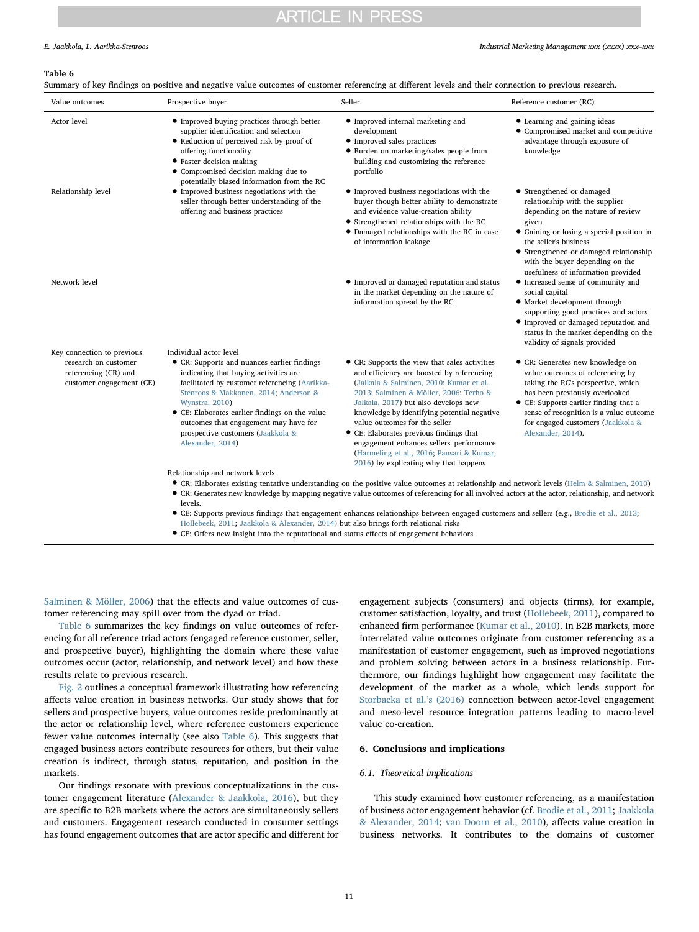#### E. Jaakkola, L. Aarikka-Stenroos *Industrial Marketing Management xxx (xxxx) xxx–xxx*

#### <span id="page-10-0"></span>Table 6

Summary of key findings on positive and negative value outcomes of customer referencing at different levels and their connection to previous research.

| Value outcomes                                                                                         | Prospective buyer                                                                                                                                                                                                                                                                                                                                                              | Seller                                                                                                                                                                                                                                                                                                                                                                                                                                                                                | Reference customer (RC)                                                                                                                                                                                                                                                                            |
|--------------------------------------------------------------------------------------------------------|--------------------------------------------------------------------------------------------------------------------------------------------------------------------------------------------------------------------------------------------------------------------------------------------------------------------------------------------------------------------------------|---------------------------------------------------------------------------------------------------------------------------------------------------------------------------------------------------------------------------------------------------------------------------------------------------------------------------------------------------------------------------------------------------------------------------------------------------------------------------------------|----------------------------------------------------------------------------------------------------------------------------------------------------------------------------------------------------------------------------------------------------------------------------------------------------|
| Actor level                                                                                            | • Improved buying practices through better<br>supplier identification and selection<br>• Reduction of perceived risk by proof of<br>offering functionality<br>• Faster decision making<br>• Compromised decision making due to<br>potentially biased information from the RC                                                                                                   | • Improved internal marketing and<br>development<br>• Improved sales practices<br>• Burden on marketing/sales people from<br>building and customizing the reference<br>portfolio                                                                                                                                                                                                                                                                                                      | • Learning and gaining ideas<br>• Compromised market and competitive<br>advantage through exposure of<br>knowledge                                                                                                                                                                                 |
| Relationship level                                                                                     | • Improved business negotiations with the<br>seller through better understanding of the<br>offering and business practices                                                                                                                                                                                                                                                     | • Improved business negotiations with the<br>buyer though better ability to demonstrate<br>and evidence value-creation ability<br>• Strengthened relationships with the RC<br>• Damaged relationships with the RC in case<br>of information leakage                                                                                                                                                                                                                                   | • Strengthened or damaged<br>relationship with the supplier<br>depending on the nature of review<br>given<br>• Gaining or losing a special position in<br>the seller's business<br>• Strengthened or damaged relationship<br>with the buyer depending on the<br>usefulness of information provided |
| Network level                                                                                          |                                                                                                                                                                                                                                                                                                                                                                                | • Improved or damaged reputation and status<br>in the market depending on the nature of<br>information spread by the RC                                                                                                                                                                                                                                                                                                                                                               | • Increased sense of community and<br>social capital<br>• Market development through<br>supporting good practices and actors<br>• Improved or damaged reputation and<br>status in the market depending on the<br>validity of signals provided                                                      |
| Key connection to previous<br>research on customer<br>referencing (CR) and<br>customer engagement (CE) | Individual actor level<br>• CR: Supports and nuances earlier findings<br>indicating that buying activities are<br>facilitated by customer referencing (Aarikka-<br>Stenroos & Makkonen, 2014; Anderson &<br>Wynstra, 2010)<br>• CE: Elaborates earlier findings on the value<br>outcomes that engagement may have for<br>prospective customers (Jaakkola &<br>Alexander, 2014) | • CR: Supports the view that sales activities<br>and efficiency are boosted by referencing<br>(Jalkala & Salminen, 2010; Kumar et al.,<br>2013; Salminen & Möller, 2006; Terho &<br>Jalkala, 2017) but also develops new<br>knowledge by identifying potential negative<br>value outcomes for the seller<br>• CE: Elaborates previous findings that<br>engagement enhances sellers' performance<br>(Harmeling et al., 2016; Pansari & Kumar,<br>2016) by explicating why that happens | • CR: Generates new knowledge on<br>value outcomes of referencing by<br>taking the RC's perspective, which<br>has been previously overlooked<br>• CE: Supports earlier finding that a<br>sense of recognition is a value outcome<br>for engaged customers (Jaakkola &<br>Alexander, 2014).         |
|                                                                                                        | Relationship and network levels<br>levels.<br>$\mathbf{a}$ and $\mathbf{a}$ and $\mathbf{a}$ and $\mathbf{a}$                                                                                                                                                                                                                                                                  | • CR: Elaborates existing tentative understanding on the positive value outcomes at relationship and network levels (Helm & Salminen, 2010)<br>• CR: Generates new knowledge by mapping negative value outcomes of referencing for all involved actors at the actor, relationship, and network                                                                                                                                                                                        |                                                                                                                                                                                                                                                                                                    |

• CE: Supports previous findings that engagement enhances relationships between engaged customers and sellers (e.g., [Brodie et al., 2013](#page-14-26); [Hollebeek, 2011](#page-14-43); [Jaakkola & Alexander, 2014\)](#page-14-1) but also brings forth relational risks

• CE: Offers new insight into the reputational and status effects of engagement behaviors

[Salminen & Möller, 2006\)](#page-15-0) that the effects and value outcomes of customer referencing may spill over from the dyad or triad.

[Table 6](#page-10-0) summarizes the key findings on value outcomes of referencing for all reference triad actors (engaged reference customer, seller, and prospective buyer), highlighting the domain where these value outcomes occur (actor, relationship, and network level) and how these results relate to previous research.

[Fig. 2](#page-11-0) outlines a conceptual framework illustrating how referencing affects value creation in business networks. Our study shows that for sellers and prospective buyers, value outcomes reside predominantly at the actor or relationship level, where reference customers experience fewer value outcomes internally (see also [Table 6\)](#page-10-0). This suggests that engaged business actors contribute resources for others, but their value creation is indirect, through status, reputation, and position in the markets.

Our findings resonate with previous conceptualizations in the customer engagement literature ([Alexander & Jaakkola, 2016\)](#page-14-16), but they are specific to B2B markets where the actors are simultaneously sellers and customers. Engagement research conducted in consumer settings has found engagement outcomes that are actor specific and different for

engagement subjects (consumers) and objects (firms), for example, customer satisfaction, loyalty, and trust [\(Hollebeek, 2011\)](#page-14-43), compared to enhanced firm performance [\(Kumar et al., 2010](#page-14-27)). In B2B markets, more interrelated value outcomes originate from customer referencing as a manifestation of customer engagement, such as improved negotiations and problem solving between actors in a business relationship. Furthermore, our findings highlight how engagement may facilitate the development of the market as a whole, which lends support for [Storbacka et al.](#page-15-5)'s (2016) connection between actor-level engagement and meso-level resource integration patterns leading to macro-level value co-creation.

### 6. Conclusions and implications

### 6.1. Theoretical implications

This study examined how customer referencing, as a manifestation of business actor engagement behavior (cf. [Brodie et al., 2011](#page-14-25); [Jaakkola](#page-14-1) [& Alexander, 2014](#page-14-1); [van Doorn et al., 2010](#page-14-2)), affects value creation in business networks. It contributes to the domains of customer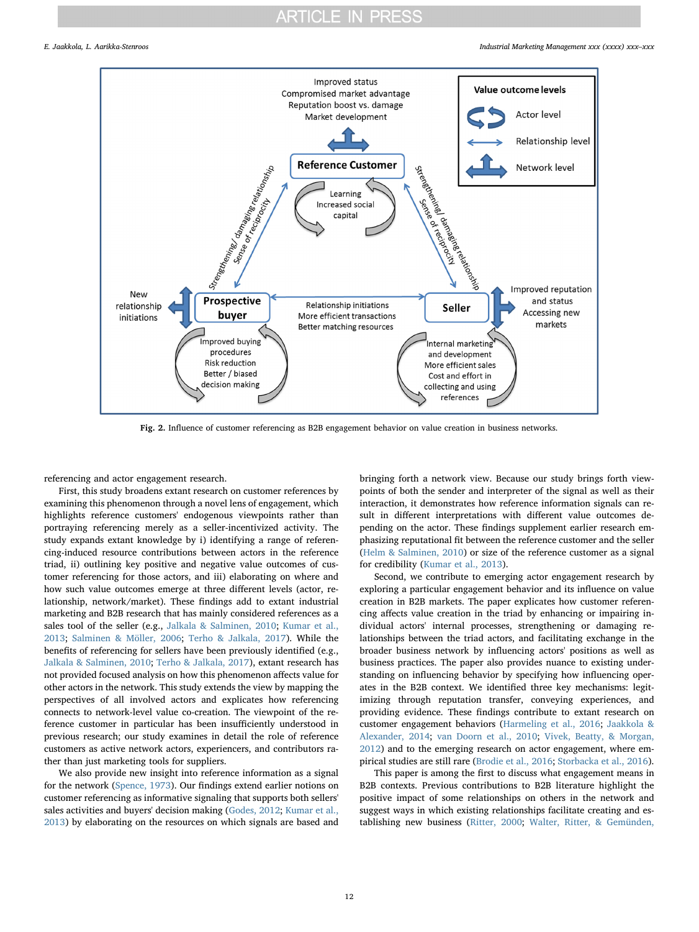<span id="page-11-0"></span>E. Jaakkola, L. Aarikka-Stenroos *Industrial Marketing Management xxx (xxxx) xxx–xxx*



Fig. 2. Influence of customer referencing as B2B engagement behavior on value creation in business networks.

referencing and actor engagement research.

First, this study broadens extant research on customer references by examining this phenomenon through a novel lens of engagement, which highlights reference customers' endogenous viewpoints rather than portraying referencing merely as a seller-incentivized activity. The study expands extant knowledge by i) identifying a range of referencing-induced resource contributions between actors in the reference triad, ii) outlining key positive and negative value outcomes of customer referencing for those actors, and iii) elaborating on where and how such value outcomes emerge at three different levels (actor, relationship, network/market). These findings add to extant industrial marketing and B2B research that has mainly considered references as a sales tool of the seller (e.g., [Jalkala & Salminen, 2010;](#page-14-13) [Kumar et al.,](#page-14-15) [2013;](#page-14-15) [Salminen & Möller, 2006;](#page-15-0) [Terho & Jalkala, 2017\)](#page-15-1). While the benefits of referencing for sellers have been previously identified (e.g., [Jalkala & Salminen, 2010;](#page-14-13) [Terho & Jalkala, 2017\)](#page-15-1), extant research has not provided focused analysis on how this phenomenon affects value for other actors in the network. This study extends the view by mapping the perspectives of all involved actors and explicates how referencing connects to network-level value co-creation. The viewpoint of the reference customer in particular has been insufficiently understood in previous research; our study examines in detail the role of reference customers as active network actors, experiencers, and contributors rather than just marketing tools for suppliers.

We also provide new insight into reference information as a signal for the network [\(Spence, 1973\)](#page-15-7). Our findings extend earlier notions on customer referencing as informative signaling that supports both sellers' sales activities and buyers' decision making [\(Godes, 2012;](#page-14-21) [Kumar et al.,](#page-14-15) [2013\)](#page-14-15) by elaborating on the resources on which signals are based and

bringing forth a network view. Because our study brings forth viewpoints of both the sender and interpreter of the signal as well as their interaction, it demonstrates how reference information signals can result in different interpretations with different value outcomes depending on the actor. These findings supplement earlier research emphasizing reputational fit between the reference customer and the seller ([Helm & Salminen, 2010](#page-14-8)) or size of the reference customer as a signal for credibility [\(Kumar et al., 2013](#page-14-15)).

Second, we contribute to emerging actor engagement research by exploring a particular engagement behavior and its influence on value creation in B2B markets. The paper explicates how customer referencing affects value creation in the triad by enhancing or impairing individual actors' internal processes, strengthening or damaging relationships between the triad actors, and facilitating exchange in the broader business network by influencing actors' positions as well as business practices. The paper also provides nuance to existing understanding on influencing behavior by specifying how influencing operates in the B2B context. We identified three key mechanisms: legitimizing through reputation transfer, conveying experiences, and providing evidence. These findings contribute to extant research on customer engagement behaviors ([Harmeling et al., 2016;](#page-14-0) [Jaakkola &](#page-14-1) [Alexander, 2014](#page-14-1); [van Doorn et al., 2010](#page-14-2); [Vivek, Beatty, & Morgan,](#page-15-13) [2012\)](#page-15-13) and to the emerging research on actor engagement, where empirical studies are still rare ([Brodie et al., 2016](#page-14-17); [Storbacka et al., 2016](#page-15-5)).

This paper is among the first to discuss what engagement means in B2B contexts. Previous contributions to B2B literature highlight the positive impact of some relationships on others in the network and suggest ways in which existing relationships facilitate creating and establishing new business ([Ritter, 2000;](#page-14-44) [Walter, Ritter, & Gemünden,](#page-15-14)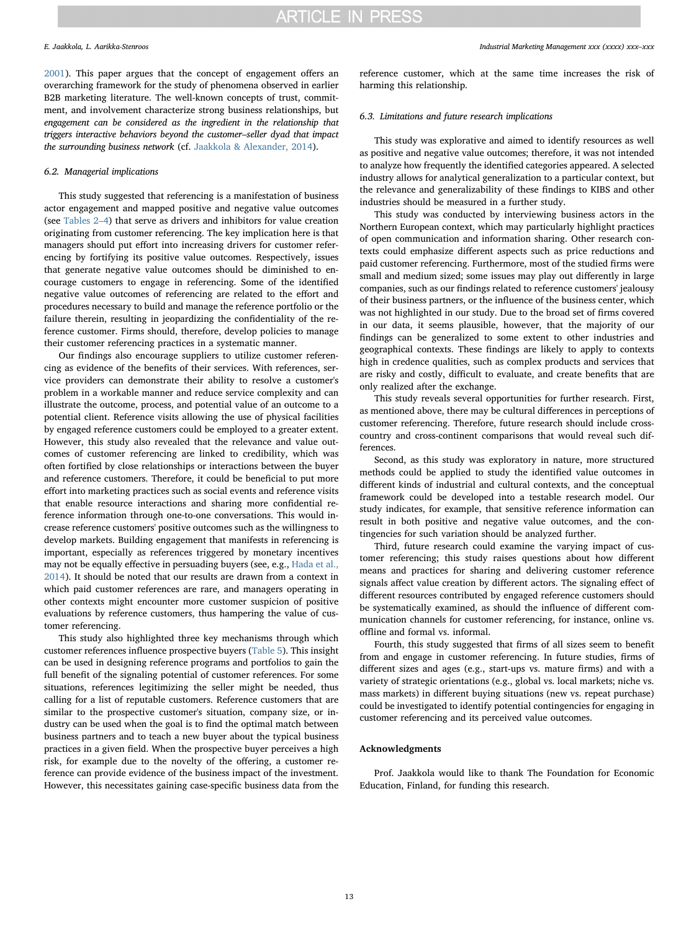E. Jaakkola, L. Aarikka-Stenroos *Industrial Marketing Management xxx (xxxx) xxx–xxx*

[2001\)](#page-15-14). This paper argues that the concept of engagement offers an overarching framework for the study of phenomena observed in earlier B2B marketing literature. The well-known concepts of trust, commitment, and involvement characterize strong business relationships, but engagement can be considered as the ingredient in the relationship that triggers interactive behaviors beyond the customer–seller dyad that impact the surrounding business network (cf. [Jaakkola & Alexander, 2014](#page-14-1)).

### 6.2. Managerial implications

This study suggested that referencing is a manifestation of business actor engagement and mapped positive and negative value outcomes (see [Tables 2](#page-6-0)–4) that serve as drivers and inhibitors for value creation originating from customer referencing. The key implication here is that managers should put effort into increasing drivers for customer referencing by fortifying its positive value outcomes. Respectively, issues that generate negative value outcomes should be diminished to encourage customers to engage in referencing. Some of the identified negative value outcomes of referencing are related to the effort and procedures necessary to build and manage the reference portfolio or the failure therein, resulting in jeopardizing the confidentiality of the reference customer. Firms should, therefore, develop policies to manage their customer referencing practices in a systematic manner.

Our findings also encourage suppliers to utilize customer referencing as evidence of the benefits of their services. With references, service providers can demonstrate their ability to resolve a customer's problem in a workable manner and reduce service complexity and can illustrate the outcome, process, and potential value of an outcome to a potential client. Reference visits allowing the use of physical facilities by engaged reference customers could be employed to a greater extent. However, this study also revealed that the relevance and value outcomes of customer referencing are linked to credibility, which was often fortified by close relationships or interactions between the buyer and reference customers. Therefore, it could be beneficial to put more effort into marketing practices such as social events and reference visits that enable resource interactions and sharing more confidential reference information through one-to-one conversations. This would increase reference customers' positive outcomes such as the willingness to develop markets. Building engagement that manifests in referencing is important, especially as references triggered by monetary incentives may not be equally effective in persuading buyers (see, e.g., [Hada et al.,](#page-14-10) [2014\)](#page-14-10). It should be noted that our results are drawn from a context in which paid customer references are rare, and managers operating in other contexts might encounter more customer suspicion of positive evaluations by reference customers, thus hampering the value of customer referencing.

This study also highlighted three key mechanisms through which customer references influence prospective buyers ([Table 5\)](#page-9-0). This insight can be used in designing reference programs and portfolios to gain the full benefit of the signaling potential of customer references. For some situations, references legitimizing the seller might be needed, thus calling for a list of reputable customers. Reference customers that are similar to the prospective customer's situation, company size, or industry can be used when the goal is to find the optimal match between business partners and to teach a new buyer about the typical business practices in a given field. When the prospective buyer perceives a high risk, for example due to the novelty of the offering, a customer reference can provide evidence of the business impact of the investment. However, this necessitates gaining case-specific business data from the

reference customer, which at the same time increases the risk of harming this relationship.

#### 6.3. Limitations and future research implications

This study was explorative and aimed to identify resources as well as positive and negative value outcomes; therefore, it was not intended to analyze how frequently the identified categories appeared. A selected industry allows for analytical generalization to a particular context, but the relevance and generalizability of these findings to KIBS and other industries should be measured in a further study.

This study was conducted by interviewing business actors in the Northern European context, which may particularly highlight practices of open communication and information sharing. Other research contexts could emphasize different aspects such as price reductions and paid customer referencing. Furthermore, most of the studied firms were small and medium sized; some issues may play out differently in large companies, such as our findings related to reference customers' jealousy of their business partners, or the influence of the business center, which was not highlighted in our study. Due to the broad set of firms covered in our data, it seems plausible, however, that the majority of our findings can be generalized to some extent to other industries and geographical contexts. These findings are likely to apply to contexts high in credence qualities, such as complex products and services that are risky and costly, difficult to evaluate, and create benefits that are only realized after the exchange.

This study reveals several opportunities for further research. First, as mentioned above, there may be cultural differences in perceptions of customer referencing. Therefore, future research should include crosscountry and cross-continent comparisons that would reveal such differences.

Second, as this study was exploratory in nature, more structured methods could be applied to study the identified value outcomes in different kinds of industrial and cultural contexts, and the conceptual framework could be developed into a testable research model. Our study indicates, for example, that sensitive reference information can result in both positive and negative value outcomes, and the contingencies for such variation should be analyzed further.

Third, future research could examine the varying impact of customer referencing; this study raises questions about how different means and practices for sharing and delivering customer reference signals affect value creation by different actors. The signaling effect of different resources contributed by engaged reference customers should be systematically examined, as should the influence of different communication channels for customer referencing, for instance, online vs. offline and formal vs. informal.

Fourth, this study suggested that firms of all sizes seem to benefit from and engage in customer referencing. In future studies, firms of different sizes and ages (e.g., start-ups vs. mature firms) and with a variety of strategic orientations (e.g., global vs. local markets; niche vs. mass markets) in different buying situations (new vs. repeat purchase) could be investigated to identify potential contingencies for engaging in customer referencing and its perceived value outcomes.

#### Acknowledgments

Prof. Jaakkola would like to thank The Foundation for Economic Education, Finland, for funding this research.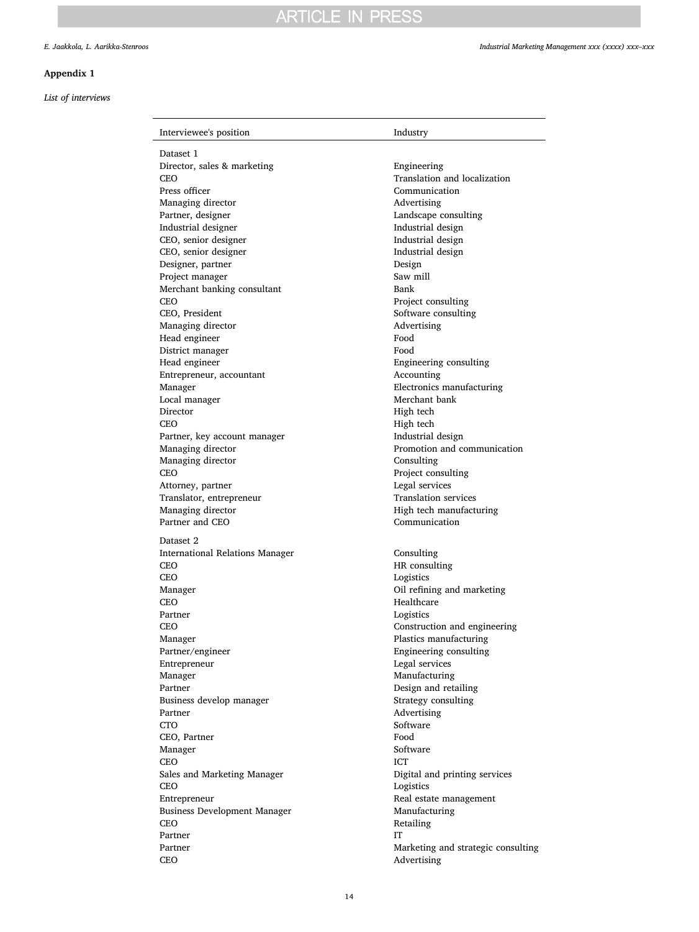## <span id="page-13-0"></span>Appendix 1

## List of interviews

| Interviewee's position              | Industry                           |
|-------------------------------------|------------------------------------|
| Dataset 1                           |                                    |
| Director, sales & marketing         | Engineering                        |
| CEO                                 | Translation and localization       |
| Press officer                       | Communication                      |
| Managing director                   | Advertising                        |
| Partner, designer                   | Landscape consulting               |
| Industrial designer                 | Industrial design                  |
| CEO, senior designer                | Industrial design                  |
| CEO, senior designer                | Industrial design                  |
| Designer, partner                   | Design                             |
| Project manager                     | Saw mill                           |
| Merchant banking consultant         | Bank                               |
| CEO                                 | Project consulting                 |
| CEO, President                      | Software consulting                |
| Managing director                   | Advertising                        |
| Head engineer                       | Food                               |
| District manager                    | Food                               |
| Head engineer                       | Engineering consulting             |
| Entrepreneur, accountant            | Accounting                         |
| Manager                             | Electronics manufacturing          |
| Local manager                       | Merchant bank                      |
| Director                            | High tech                          |
| <b>CEO</b>                          | High tech                          |
| Partner, key account manager        | Industrial design                  |
| Managing director                   | Promotion and communication        |
| Managing director                   | Consulting                         |
| CEO                                 | Project consulting                 |
| Attorney, partner                   | Legal services                     |
| Translator, entrepreneur            | <b>Translation services</b>        |
| Managing director                   | High tech manufacturing            |
| Partner and CEO                     | Communication                      |
| Dataset 2                           |                                    |
| International Relations Manager     | Consulting                         |
| CEO                                 | HR consulting                      |
| CEO                                 | Logistics                          |
| Manager                             | Oil refining and marketing         |
| CEO                                 | Healthcare                         |
| Partner                             | Logistics                          |
| CEO                                 | Construction and engineering       |
| Manager                             | Plastics manufacturing             |
| Partner/engineer<br>Entrepreneur    | Engineering consulting             |
| Manager                             | Legal services<br>Manufacturing    |
| Partner                             | Design and retailing               |
| Business develop manager            | Strategy consulting                |
| Partner                             | Advertising                        |
| <b>CTO</b>                          | Software                           |
| CEO, Partner                        | Food                               |
| Manager                             | Software                           |
| <b>CEO</b>                          | <b>ICT</b>                         |
| Sales and Marketing Manager         | Digital and printing services      |
| <b>CEO</b>                          | Logistics                          |
| Entrepreneur                        | Real estate management             |
| <b>Business Development Manager</b> | Manufacturing                      |
| CEO                                 | Retailing                          |
| Partner                             | <b>IT</b>                          |
| Partner                             | Marketing and strategic consulting |
| CEO                                 | Advertising                        |
|                                     |                                    |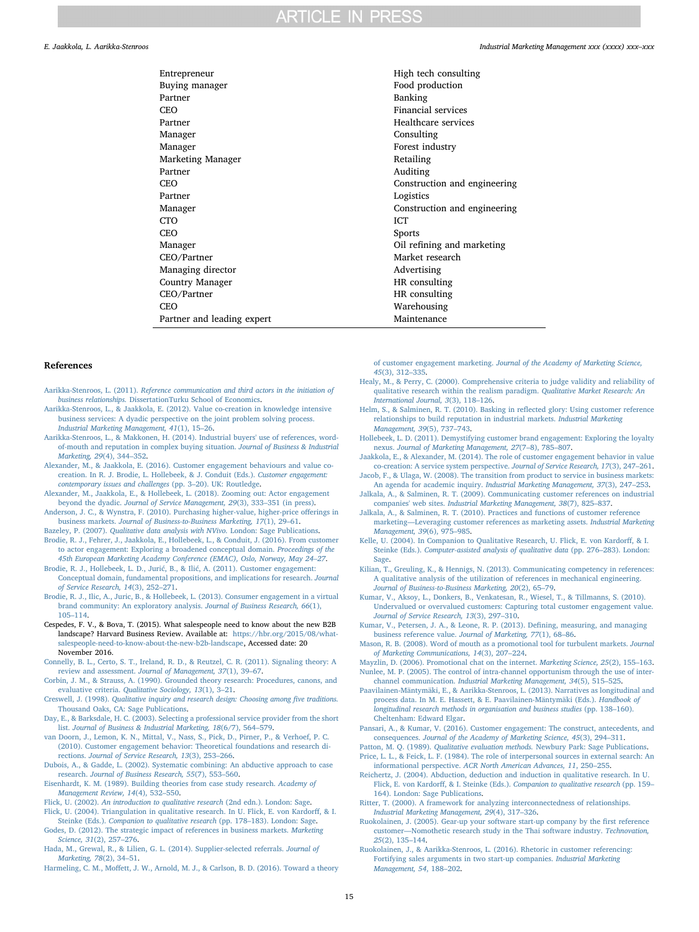| Entrepreneur               | High tech consulting         |
|----------------------------|------------------------------|
| Buying manager             | Food production              |
| Partner                    | Banking                      |
| CEO                        | Financial services           |
| Partner                    | Healthcare services          |
| Manager                    | Consulting                   |
| Manager                    | Forest industry              |
| Marketing Manager          | Retailing                    |
| Partner                    | Auditing                     |
| <b>CEO</b>                 | Construction and engineering |
| Partner                    | Logistics                    |
| Manager                    | Construction and engineering |
| CTO.                       | <b>ICT</b>                   |
| CEO                        | <b>Sports</b>                |
| Manager                    | Oil refining and marketing   |
| CEO/Partner                | Market research              |
| Managing director          | Advertising                  |
| <b>Country Manager</b>     | HR consulting                |
| CEO/Partner                | HR consulting                |
| <b>CEO</b>                 | Warehousing                  |
| Partner and leading expert | Maintenance                  |
|                            |                              |

#### References

- <span id="page-14-9"></span>Aarikka-Stenroos, L. (2011). [Reference communication and third actors in the initiation of](http://refhub.elsevier.com/S0019-8501(16)30351-0/rf0005) business relationships. [DissertationTurku School of Economics.](http://refhub.elsevier.com/S0019-8501(16)30351-0/rf0005)
- <span id="page-14-6"></span>[Aarikka-Stenroos, L., & Jaakkola, E. \(2012\). Value co-creation in knowledge intensive](http://refhub.elsevier.com/S0019-8501(16)30351-0/rf0010) [business services: A dyadic perspective on the joint problem solving process.](http://refhub.elsevier.com/S0019-8501(16)30351-0/rf0010) [Industrial Marketing Management, 41](http://refhub.elsevier.com/S0019-8501(16)30351-0/rf0010)(1), 15–26.
- <span id="page-14-3"></span>[Aarikka-Stenroos, L., & Makkonen, H. \(2014\). Industrial buyers' use of references, word](http://refhub.elsevier.com/S0019-8501(16)30351-0/rf0015)[of-mouth and reputation in complex buying situation.](http://refhub.elsevier.com/S0019-8501(16)30351-0/rf0015) Journal of Business & Industrial [Marketing, 29](http://refhub.elsevier.com/S0019-8501(16)30351-0/rf0015)(4), 344–352.
- <span id="page-14-16"></span>[Alexander, M., & Jaakkola, E. \(2016\). Customer engagement behaviours and value co](http://refhub.elsevier.com/S0019-8501(16)30351-0/rf0020)[creation. In R. J. Brodie, L. Hollebeek, & J. Conduit \(Eds.\).](http://refhub.elsevier.com/S0019-8501(16)30351-0/rf0020) Customer engagement: [contemporary issues and challenges](http://refhub.elsevier.com/S0019-8501(16)30351-0/rf0020) (pp. 3–20). UK: Routledge.
- <span id="page-14-18"></span>[Alexander, M., Jaakkola, E., & Hollebeek, L. \(2018\). Zooming out: Actor engagement](http://refhub.elsevier.com/S0019-8501(16)30351-0/rf0025) beyond the dyadic. [Journal of Service Management, 29](http://refhub.elsevier.com/S0019-8501(16)30351-0/rf0025)(3), 333–351 (in press).
- <span id="page-14-4"></span>[Anderson, J. C., & Wynstra, F. \(2010\). Purchasing higher-value, higher-price o](http://refhub.elsevier.com/S0019-8501(16)30351-0/rf0030)fferings in business markets. [Journal of Business-to-Business Marketing, 17](http://refhub.elsevier.com/S0019-8501(16)30351-0/rf0030)(1), 29–61. Bazeley, P. (2007). [Qualitative data analysis with NVivo.](http://refhub.elsevier.com/S0019-8501(16)30351-0/rf0035) London: Sage Publications.
- <span id="page-14-35"></span><span id="page-14-17"></span>[Brodie, R. J., Fehrer, J., Jaakkola, E., Hollebeek, L., & Conduit, J. \(2016\). From customer](http://refhub.elsevier.com/S0019-8501(16)30351-0/rf0040) [to actor engagement: Exploring a broadened conceptual domain.](http://refhub.elsevier.com/S0019-8501(16)30351-0/rf0040) Proceedings of the [45th European Marketing Academy Conference \(EMAC\), Oslo, Norway, May 24](http://refhub.elsevier.com/S0019-8501(16)30351-0/rf0040)–27.
- <span id="page-14-25"></span>Brodie, R. J., Hollebeek, L. D., Jurić, B., & Ilić[, A. \(2011\). Customer engagement:](http://refhub.elsevier.com/S0019-8501(16)30351-0/rf0045) [Conceptual domain, fundamental propositions, and implications for research.](http://refhub.elsevier.com/S0019-8501(16)30351-0/rf0045) Journal [of Service Research, 14](http://refhub.elsevier.com/S0019-8501(16)30351-0/rf0045)(3), 252–271.
- <span id="page-14-26"></span>[Brodie, R. J., Ilic, A., Juric, B., & Hollebeek, L. \(2013\). Consumer engagement in a virtual](http://refhub.elsevier.com/S0019-8501(16)30351-0/rf0050) [brand community: An exploratory analysis.](http://refhub.elsevier.com/S0019-8501(16)30351-0/rf0050) Journal of Business Research, 66(1), 105–[114](http://refhub.elsevier.com/S0019-8501(16)30351-0/rf0050).
- <span id="page-14-7"></span>Cespedes, F. V., & Bova, T. (2015). What salespeople need to know about the new B2B landscape? Harvard Business Review. Available at: [https://hbr.org/2015/08/what](https://hbr.org/2015/08/what-salespeople-need-to-know-about-the-new-b2b-landscape)[salespeople-need-to-know-about-the-new-b2b-landscape,](https://hbr.org/2015/08/what-salespeople-need-to-know-about-the-new-b2b-landscape) Accessed date: 20 November 2016.
- <span id="page-14-20"></span>[Connelly, B. L., Certo, S. T., Ireland, R. D., & Reutzel, C. R. \(2011\). Signaling theory: A](http://refhub.elsevier.com/S0019-8501(16)30351-0/rf0065) review and assessment. [Journal of Management, 37](http://refhub.elsevier.com/S0019-8501(16)30351-0/rf0065)(1), 39–67.
- <span id="page-14-34"></span>[Corbin, J. M., & Strauss, A. \(1990\). Grounded theory research: Procedures, canons, and](http://refhub.elsevier.com/S0019-8501(16)30351-0/rf0070) evaluative criteria. [Qualitative Sociology, 13](http://refhub.elsevier.com/S0019-8501(16)30351-0/rf0070)(1), 3–21.
- <span id="page-14-39"></span>Creswell, J. (1998). [Qualitative inquiry and research design: Choosing among](http://refhub.elsevier.com/S0019-8501(16)30351-0/rf0075) five traditions. [Thousand Oaks, CA: Sage Publications](http://refhub.elsevier.com/S0019-8501(16)30351-0/rf0075).
- <span id="page-14-31"></span>[Day, E., & Barksdale, H. C. \(2003\). Selecting a professional service provider from the short](http://refhub.elsevier.com/S0019-8501(16)30351-0/rf0080) list. Journal [of Business & Industrial Marketing, 18](http://refhub.elsevier.com/S0019-8501(16)30351-0/rf0080)(6/7), 564–579.
- <span id="page-14-2"></span>[van Doorn, J., Lemon, K. N., Mittal, V., Nass, S., Pick, D., Pirner, P., & Verhoef, P. C.](http://refhub.elsevier.com/S0019-8501(16)30351-0/rf0085) [\(2010\). Customer engagement behavior: Theoretical foundations and research di](http://refhub.elsevier.com/S0019-8501(16)30351-0/rf0085)rections. [Journal of Service Research, 13](http://refhub.elsevier.com/S0019-8501(16)30351-0/rf0085)(3), 253–266.
- <span id="page-14-29"></span>[Dubois, A., & Gadde, L. \(2002\). Systematic combining: An abductive approach to case](http://refhub.elsevier.com/S0019-8501(16)30351-0/rf0090) research. [Journal of Business Research, 55](http://refhub.elsevier.com/S0019-8501(16)30351-0/rf0090)(7), 553–560.
- <span id="page-14-40"></span>[Eisenhardt, K. M. \(1989\). Building theories from case study research.](http://refhub.elsevier.com/S0019-8501(16)30351-0/rf0095) Academy of [Management Review, 14](http://refhub.elsevier.com/S0019-8501(16)30351-0/rf0095)(4), 532–550.
- <span id="page-14-32"></span>Flick, U. (2002). [An introduction to qualitative research](http://refhub.elsevier.com/S0019-8501(16)30351-0/rf0100) (2nd edn.). London: Sage.
- <span id="page-14-38"></span>[Flick, U. \(2004\). Triangulation in qualitative research. In U. Flick, E. von Kardor](http://refhub.elsevier.com/S0019-8501(16)30351-0/rf0105)ff, & I. Steinke (Eds.). [Companion to qualitative research](http://refhub.elsevier.com/S0019-8501(16)30351-0/rf0105) (pp. 178–183). London: Sage.
- <span id="page-14-21"></span>[Godes, D. \(2012\). The strategic impact of references in business markets.](http://refhub.elsevier.com/S0019-8501(16)30351-0/rf0110) Marketing [Science, 31](http://refhub.elsevier.com/S0019-8501(16)30351-0/rf0110)(2), 257–276.
- <span id="page-14-10"></span>[Hada, M., Grewal, R., & Lilien, G. L. \(2014\). Supplier-selected referrals.](http://refhub.elsevier.com/S0019-8501(16)30351-0/rf0115) Journal of [Marketing, 78](http://refhub.elsevier.com/S0019-8501(16)30351-0/rf0115)(2), 34–51.
- <span id="page-14-0"></span>Harmeling, C. M., Moff[ett, J. W., Arnold, M. J., & Carlson, B. D. \(2016\). Toward a theory](http://refhub.elsevier.com/S0019-8501(16)30351-0/rf0120)

#### E. Jaakkola, L. Aarikka-Stenroos *Industrial Marketing Management xxx (xxxx) xxx–xxx*

- of customer engagement marketing. [Journal of the Academy of Marketing Science,](http://refhub.elsevier.com/S0019-8501(16)30351-0/rf0120) 45[\(3\), 312](http://refhub.elsevier.com/S0019-8501(16)30351-0/rf0120)–335.
- <span id="page-14-36"></span>[Healy, M., & Perry, C. \(2000\). Comprehensive criteria to judge validity and reliability of](http://refhub.elsevier.com/S0019-8501(16)30351-0/rf0125) [qualitative research within the realism paradigm.](http://refhub.elsevier.com/S0019-8501(16)30351-0/rf0125) Qualitative Market Research: An [International Journal, 3](http://refhub.elsevier.com/S0019-8501(16)30351-0/rf0125)(3), 118–126.
- <span id="page-14-8"></span>[Helm, S., & Salminen, R. T. \(2010\). Basking in re](http://refhub.elsevier.com/S0019-8501(16)30351-0/rf0130)flected glory: Using customer reference [relationships to build reputation in industrial markets.](http://refhub.elsevier.com/S0019-8501(16)30351-0/rf0130) Industrial Marketing [Management, 39](http://refhub.elsevier.com/S0019-8501(16)30351-0/rf0130)(5), 737–743.
- <span id="page-14-43"></span>[Hollebeek, L. D. \(2011\). Demystifying customer brand engagement: Exploring the loyalty](http://refhub.elsevier.com/S0019-8501(16)30351-0/rf0135) nexus. [Journal of Marketing Management, 27](http://refhub.elsevier.com/S0019-8501(16)30351-0/rf0135)(7–8), 785–807.
- <span id="page-14-1"></span>[Jaakkola, E., & Alexander, M. \(2014\). The role of customer engagement behavior in value](http://refhub.elsevier.com/S0019-8501(16)30351-0/rf0140) [co-creation: A service system perspective.](http://refhub.elsevier.com/S0019-8501(16)30351-0/rf0140) Journal of Service Research, 17(3), 247–261. [Jacob, F., & Ulaga, W. \(2008\). The transition from product to service in business markets:](http://refhub.elsevier.com/S0019-8501(16)30351-0/rf0145)
- <span id="page-14-22"></span><span id="page-14-5"></span>[An agenda for academic inquiry.](http://refhub.elsevier.com/S0019-8501(16)30351-0/rf0145) Industrial Marketing Management, 37(3), 247–253. [Jalkala, A., & Salminen, R. T. \(2009\). Communicating customer references on industrial](http://refhub.elsevier.com/S0019-8501(16)30351-0/rf0150)
- companies' web sites. [Industrial Marketing Management, 38](http://refhub.elsevier.com/S0019-8501(16)30351-0/rf0150)(7), 825–837.
- <span id="page-14-13"></span>[Jalkala, A., & Salminen, R. T. \(2010\). Practices and functions of customer reference](http://refhub.elsevier.com/S0019-8501(16)30351-0/rf0155) marketing—[Leveraging customer references as marketing assets.](http://refhub.elsevier.com/S0019-8501(16)30351-0/rf0155) Industrial Marketing [Management, 39](http://refhub.elsevier.com/S0019-8501(16)30351-0/rf0155)(6), 975–985.
- <span id="page-14-37"></span>[Kelle, U. \(2004\). In Companion to Qualitative Research, U. Flick, E. von Kardor](http://refhub.elsevier.com/S0019-8501(16)30351-0/rf0160)ff, & I. Steinke (Eds.). [Computer-assisted analysis of qualitative data](http://refhub.elsevier.com/S0019-8501(16)30351-0/rf0160) (pp. 276–283). London: [Sage.](http://refhub.elsevier.com/S0019-8501(16)30351-0/rf0160)
- <span id="page-14-14"></span>[Kilian, T., Greuling, K., & Hennigs, N. \(2013\). Communicating competency in references:](http://refhub.elsevier.com/S0019-8501(16)30351-0/rf0165) [A qualitative analysis of the utilization of references in mechanical engineering.](http://refhub.elsevier.com/S0019-8501(16)30351-0/rf0165) [Journal of Business-to-Business Marketing, 20](http://refhub.elsevier.com/S0019-8501(16)30351-0/rf0165)(2), 65–79.
- <span id="page-14-27"></span>[Kumar, V., Aksoy, L., Donkers, B., Venkatesan, R., Wiesel, T., & Tillmanns, S. \(2010\).](http://refhub.elsevier.com/S0019-8501(16)30351-0/rf0170) [Undervalued or overvalued customers: Capturing total customer engagement value.](http://refhub.elsevier.com/S0019-8501(16)30351-0/rf0170) [Journal of Service Research, 13](http://refhub.elsevier.com/S0019-8501(16)30351-0/rf0170)(3), 297–310.
- <span id="page-14-15"></span>[Kumar, V., Petersen, J. A., & Leone, R. P. \(2013\). De](http://refhub.elsevier.com/S0019-8501(16)30351-0/rf0175)fining, measuring, and managing [business reference value.](http://refhub.elsevier.com/S0019-8501(16)30351-0/rf0175) Journal of Marketing, 77(1), 68–86.
- <span id="page-14-23"></span>[Mason, R. B. \(2008\). Word of mouth as a promotional tool for turbulent markets.](http://refhub.elsevier.com/S0019-8501(16)30351-0/rf0180) Journal [of Marketing Communications, 14](http://refhub.elsevier.com/S0019-8501(16)30351-0/rf0180)(3), 207–224.
- <span id="page-14-42"></span><span id="page-14-24"></span>[Mayzlin, D. \(2006\). Promotional chat on the internet.](http://refhub.elsevier.com/S0019-8501(16)30351-0/rf0185) Marketing Science, 25(2), 155–163. [Nunlee, M. P. \(2005\). The control of intra-channel opportunism through the use of inter](http://refhub.elsevier.com/S0019-8501(16)30351-0/rf0190)channel communication. [Industrial Marketing Management, 34](http://refhub.elsevier.com/S0019-8501(16)30351-0/rf0190)(5), 515–525.
- <span id="page-14-33"></span>[Paavilainen-Mäntymäki, E., & Aarikka-Stenroos, L. \(2013\). Narratives as longitudinal and](http://refhub.elsevier.com/S0019-8501(16)30351-0/rf0195) [process data. In M. E. Hassett, & E. Paavilainen-Mäntymäki \(Eds.\).](http://refhub.elsevier.com/S0019-8501(16)30351-0/rf0195) Handbook of [longitudinal research methods in organisation and business studies](http://refhub.elsevier.com/S0019-8501(16)30351-0/rf0195) (pp. 138–160). [Cheltenham: Edward Elgar.](http://refhub.elsevier.com/S0019-8501(16)30351-0/rf0195)
- <span id="page-14-19"></span>[Pansari, A., & Kumar, V. \(2016\). Customer engagement: The construct, antecedents, and](http://refhub.elsevier.com/S0019-8501(16)30351-0/rf0200) consequences. [Journal of the Academy of Marketing Science, 45](http://refhub.elsevier.com/S0019-8501(16)30351-0/rf0200)(3), 294–311.
- <span id="page-14-41"></span><span id="page-14-28"></span>Patton, M. Q. (1989). Qualitative evaluation methods. [Newbury Park: Sage Publications](http://refhub.elsevier.com/S0019-8501(16)30351-0/rf0205). [Price, L. L., & Feick, L. F. \(1984\). The role of interpersonal sources in external search: An](http://refhub.elsevier.com/S0019-8501(16)30351-0/rf0210) informational perspective. [ACR North American Advances, 11](http://refhub.elsevier.com/S0019-8501(16)30351-0/rf0210), 250–255.
- <span id="page-14-30"></span>Reichertz, [J. \(2004\). Abduction, deduction and induction in qualitative research. In U.](http://refhub.elsevier.com/S0019-8501(16)30351-0/rf0215) Flick, E. von Kardorff, & I. Steinke (Eds.). [Companion to qualitative research](http://refhub.elsevier.com/S0019-8501(16)30351-0/rf0215) (pp. 159– [164\). London: Sage Publications](http://refhub.elsevier.com/S0019-8501(16)30351-0/rf0215).
- <span id="page-14-44"></span>[Ritter, T. \(2000\). A framework for analyzing interconnectedness of relationships.](http://refhub.elsevier.com/S0019-8501(16)30351-0/rf0220) [Industrial Marketing Management, 29](http://refhub.elsevier.com/S0019-8501(16)30351-0/rf0220)(4), 317–326.
- <span id="page-14-11"></span>[Ruokolainen, J. \(2005\). Gear-up your software start-up company by the](http://refhub.elsevier.com/S0019-8501(16)30351-0/rf0225) first reference customer—[Nomothetic research study in the Thai software industry.](http://refhub.elsevier.com/S0019-8501(16)30351-0/rf0225) Technovation, 25[\(2\), 135](http://refhub.elsevier.com/S0019-8501(16)30351-0/rf0225)–144.
- <span id="page-14-12"></span>[Ruokolainen, J., & Aarikka-Stenroos, L. \(2016\). Rhetoric in customer referencing:](http://refhub.elsevier.com/S0019-8501(16)30351-0/rf0230) [Fortifying sales arguments in two start-up companies.](http://refhub.elsevier.com/S0019-8501(16)30351-0/rf0230) Industrial Marketing [Management, 54](http://refhub.elsevier.com/S0019-8501(16)30351-0/rf0230), 188–202.